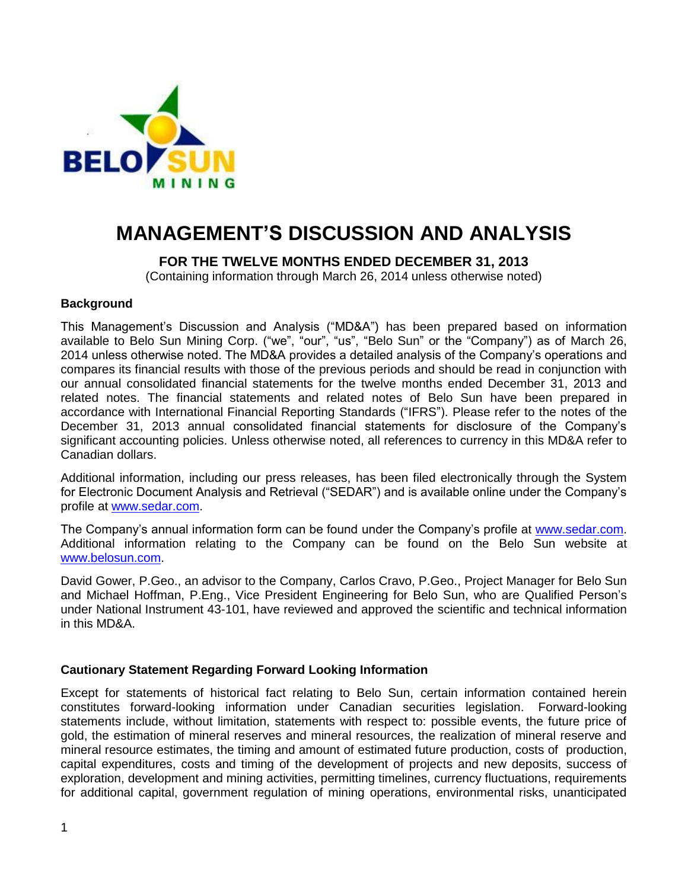

# **MANAGEMENT'S DISCUSSION AND ANALYSIS**

# **FOR THE TWELVE MONTHS ENDED DECEMBER 31, 2013**

(Containing information through March 26, 2014 unless otherwise noted)

#### **Background**

This Management's Discussion and Analysis ("MD&A") has been prepared based on information available to Belo Sun Mining Corp. ("we", "our", "us", "Belo Sun" or the "Company") as of March 26, 2014 unless otherwise noted. The MD&A provides a detailed analysis of the Company's operations and compares its financial results with those of the previous periods and should be read in conjunction with our annual consolidated financial statements for the twelve months ended December 31, 2013 and related notes. The financial statements and related notes of Belo Sun have been prepared in accordance with International Financial Reporting Standards ("IFRS"). Please refer to the notes of the December 31, 2013 annual consolidated financial statements for disclosure of the Company's significant accounting policies. Unless otherwise noted, all references to currency in this MD&A refer to Canadian dollars.

Additional information, including our press releases, has been filed electronically through the System for Electronic Document Analysis and Retrieval ("SEDAR") and is available online under the Company's profile at [www.sedar.com.](http://www.sedar.com/)

The Company's annual information form can be found under the Company's profile at [www.sedar.com.](http://www.sedar.com/) Additional information relating to the Company can be found on the Belo Sun website at [www.belosun.com.](http://www.belosun.com/)

David Gower, P.Geo., an advisor to the Company, Carlos Cravo, P.Geo., Project Manager for Belo Sun and Michael Hoffman, P.Eng., Vice President Engineering for Belo Sun, who are Qualified Person's under National Instrument 43-101, have reviewed and approved the scientific and technical information in this MD&A.

## **Cautionary Statement Regarding Forward Looking Information**

Except for statements of historical fact relating to Belo Sun, certain information contained herein constitutes forward-looking information under Canadian securities legislation. Forward-looking statements include, without limitation, statements with respect to: possible events, the future price of gold, the estimation of mineral reserves and mineral resources, the realization of mineral reserve and mineral resource estimates, the timing and amount of estimated future production, costs of production, capital expenditures, costs and timing of the development of projects and new deposits, success of exploration, development and mining activities, permitting timelines, currency fluctuations, requirements for additional capital, government regulation of mining operations, environmental risks, unanticipated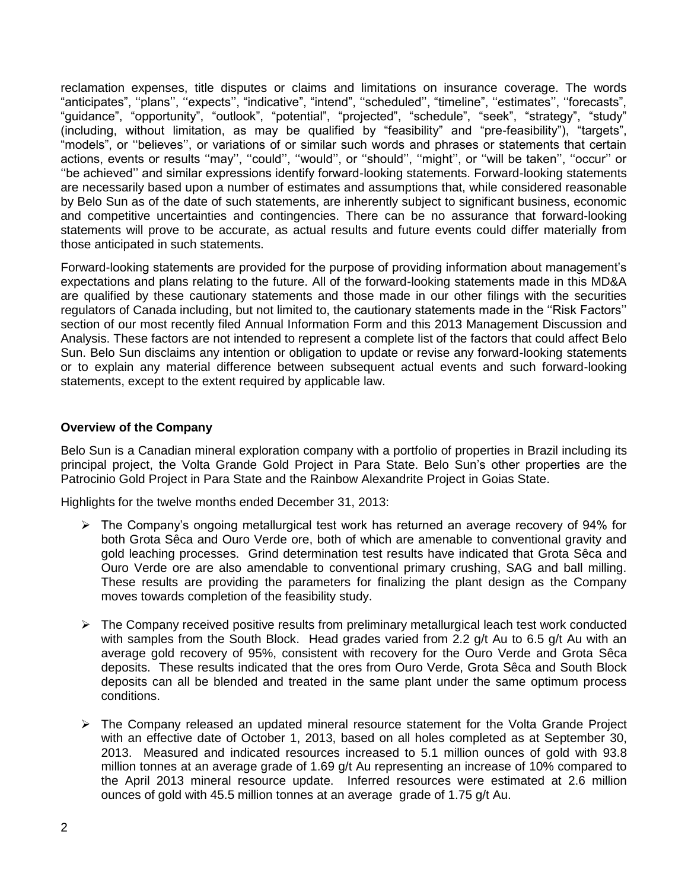reclamation expenses, title disputes or claims and limitations on insurance coverage. The words "anticipates", ''plans'', ''expects'', "indicative", "intend", ''scheduled'', "timeline", ''estimates'', ''forecasts", "guidance", "opportunity", "outlook", "potential", "projected", "schedule", "seek", "strategy", "study" (including, without limitation, as may be qualified by "feasibility" and "pre-feasibility"), "targets", "models", or ''believes'', or variations of or similar such words and phrases or statements that certain actions, events or results "may", "could", "would", or "should", "might", or "will be taken", "occur" or ''be achieved'' and similar expressions identify forward-looking statements. Forward-looking statements are necessarily based upon a number of estimates and assumptions that, while considered reasonable by Belo Sun as of the date of such statements, are inherently subject to significant business, economic and competitive uncertainties and contingencies. There can be no assurance that forward-looking statements will prove to be accurate, as actual results and future events could differ materially from those anticipated in such statements.

Forward-looking statements are provided for the purpose of providing information about management's expectations and plans relating to the future. All of the forward-looking statements made in this MD&A are qualified by these cautionary statements and those made in our other filings with the securities regulators of Canada including, but not limited to, the cautionary statements made in the ''Risk Factors'' section of our most recently filed Annual Information Form and this 2013 Management Discussion and Analysis. These factors are not intended to represent a complete list of the factors that could affect Belo Sun. Belo Sun disclaims any intention or obligation to update or revise any forward-looking statements or to explain any material difference between subsequent actual events and such forward-looking statements, except to the extent required by applicable law.

#### **Overview of the Company**

Belo Sun is a Canadian mineral exploration company with a portfolio of properties in Brazil including its principal project, the Volta Grande Gold Project in Para State. Belo Sun's other properties are the Patrocinio Gold Project in Para State and the Rainbow Alexandrite Project in Goias State.

Highlights for the twelve months ended December 31, 2013:

- $\triangleright$  The Company's ongoing metallurgical test work has returned an average recovery of 94% for both Grota Sêca and Ouro Verde ore, both of which are amenable to conventional gravity and gold leaching processes. Grind determination test results have indicated that Grota Sêca and Ouro Verde ore are also amendable to conventional primary crushing, SAG and ball milling. These results are providing the parameters for finalizing the plant design as the Company moves towards completion of the feasibility study.
- $\triangleright$  The Company received positive results from preliminary metallurgical leach test work conducted with samples from the South Block. Head grades varied from 2.2 g/t Au to 6.5 g/t Au with an average gold recovery of 95%, consistent with recovery for the Ouro Verde and Grota Sêca deposits. These results indicated that the ores from Ouro Verde, Grota Sêca and South Block deposits can all be blended and treated in the same plant under the same optimum process conditions.
- $\triangleright$  The Company released an updated mineral resource statement for the Volta Grande Project with an effective date of October 1, 2013, based on all holes completed as at September 30, 2013. Measured and indicated resources increased to 5.1 million ounces of gold with 93.8 million tonnes at an average grade of 1.69 g/t Au representing an increase of 10% compared to the April 2013 mineral resource update. Inferred resources were estimated at 2.6 million ounces of gold with 45.5 million tonnes at an average grade of 1.75 g/t Au.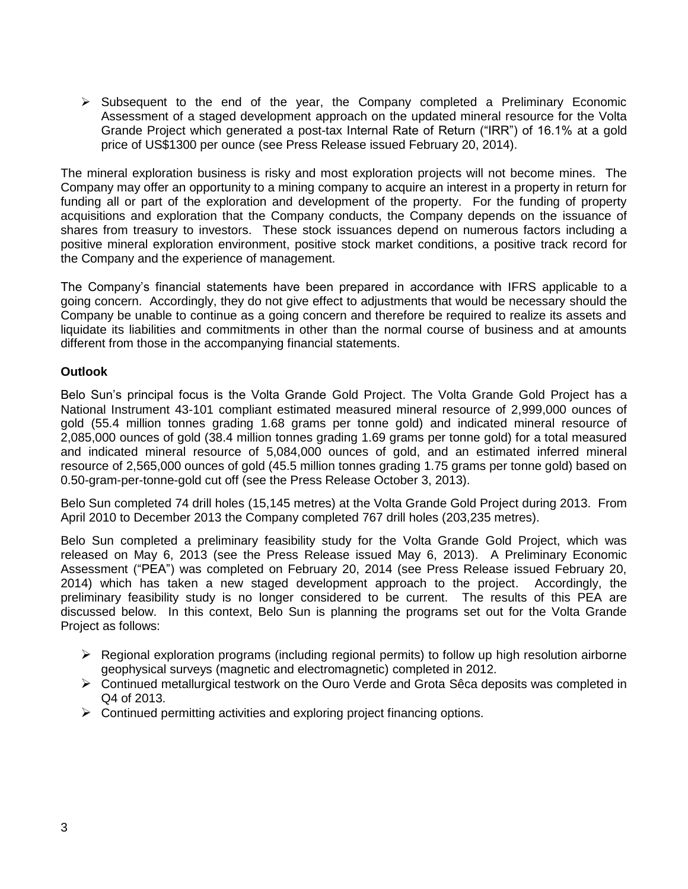$\triangleright$  Subsequent to the end of the year, the Company completed a Preliminary Economic Assessment of a staged development approach on the updated mineral resource for the Volta Grande Project which generated a post-tax Internal Rate of Return ("IRR") of 16.1% at a gold price of US\$1300 per ounce (see Press Release issued February 20, 2014).

The mineral exploration business is risky and most exploration projects will not become mines. The Company may offer an opportunity to a mining company to acquire an interest in a property in return for funding all or part of the exploration and development of the property. For the funding of property acquisitions and exploration that the Company conducts, the Company depends on the issuance of shares from treasury to investors. These stock issuances depend on numerous factors including a positive mineral exploration environment, positive stock market conditions, a positive track record for the Company and the experience of management.

The Company's financial statements have been prepared in accordance with IFRS applicable to a going concern. Accordingly, they do not give effect to adjustments that would be necessary should the Company be unable to continue as a going concern and therefore be required to realize its assets and liquidate its liabilities and commitments in other than the normal course of business and at amounts different from those in the accompanying financial statements.

## **Outlook**

Belo Sun's principal focus is the Volta Grande Gold Project. The Volta Grande Gold Project has a National Instrument 43-101 compliant estimated measured mineral resource of 2,999,000 ounces of gold (55.4 million tonnes grading 1.68 grams per tonne gold) and indicated mineral resource of 2,085,000 ounces of gold (38.4 million tonnes grading 1.69 grams per tonne gold) for a total measured and indicated mineral resource of 5,084,000 ounces of gold, and an estimated inferred mineral resource of 2,565,000 ounces of gold (45.5 million tonnes grading 1.75 grams per tonne gold) based on 0.50-gram-per-tonne-gold cut off (see the Press Release October 3, 2013).

Belo Sun completed 74 drill holes (15,145 metres) at the Volta Grande Gold Project during 2013. From April 2010 to December 2013 the Company completed 767 drill holes (203,235 metres).

Belo Sun completed a preliminary feasibility study for the Volta Grande Gold Project, which was released on May 6, 2013 (see the Press Release issued May 6, 2013). A Preliminary Economic Assessment ("PEA") was completed on February 20, 2014 (see Press Release issued February 20, 2014) which has taken a new staged development approach to the project. Accordingly, the preliminary feasibility study is no longer considered to be current. The results of this PEA are discussed below. In this context, Belo Sun is planning the programs set out for the Volta Grande Project as follows:

- $\triangleright$  Regional exploration programs (including regional permits) to follow up high resolution airborne geophysical surveys (magnetic and electromagnetic) completed in 2012.
- Continued metallurgical testwork on the Ouro Verde and Grota Sêca deposits was completed in Q4 of 2013.
- $\triangleright$  Continued permitting activities and exploring project financing options.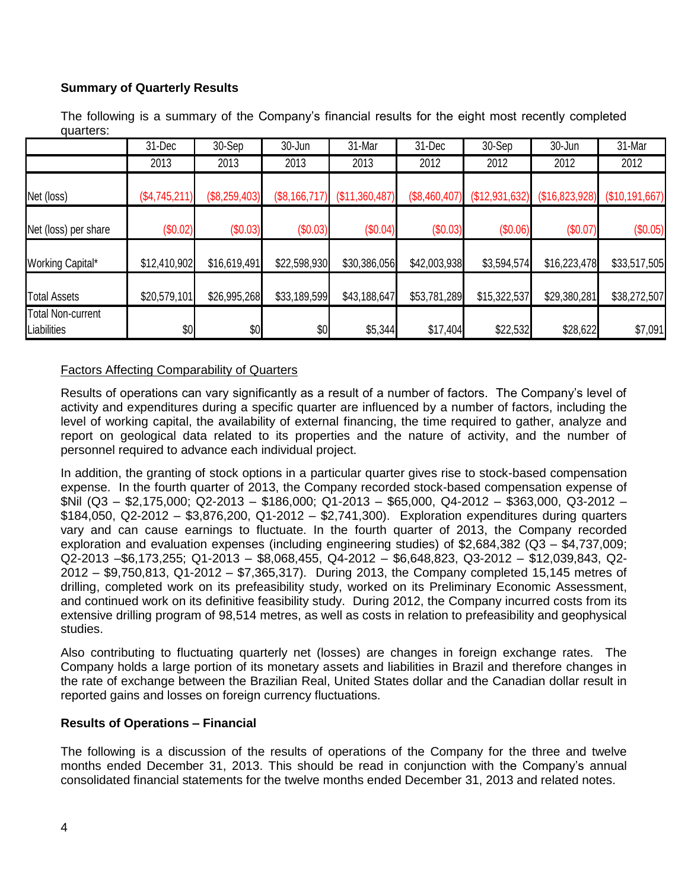# **Summary of Quarterly Results**

The following is a summary of the Company's financial results for the eight most recently completed quarters:

|                                  | 31-Dec        | 30-Sep        | 30-Jun        | 31-Mar         | 31-Dec        | 30-Sep         | 30-Jun         | 31-Mar         |
|----------------------------------|---------------|---------------|---------------|----------------|---------------|----------------|----------------|----------------|
|                                  | 2013          | 2013          | 2013          | 2013           | 2012          | 2012           | 2012           | 2012           |
| Net (loss)                       | (\$4,745,211) | (\$8,259,403) | (\$8,166,717) | (\$11,360,487) | (\$8,460,407) | (\$12,931,632) | (\$16,823,928) | (\$10,191,667) |
| Net (loss) per share             | (\$0.02)      | (\$0.03)      | (\$0.03)      | (\$0.04)       | (\$0.03)      | (\$0.06)       | (\$0.07)       | (\$0.05)       |
| Working Capital*                 | \$12,410,902  | \$16,619,491  | \$22,598,930  | \$30,386,056   | \$42,003,938  | \$3,594,574    | \$16,223,478   | \$33,517,505   |
| <b>Total Assets</b>              | \$20,579,101  | \$26,995,268  | \$33,189,599  | \$43,188,647   | \$53,781,289  | \$15,322,537   | \$29,380,281   | \$38,272,507   |
| Total Non-current<br>Liabilities | \$0           | \$0           | \$0           | \$5,344        | \$17,404      | \$22,532       | \$28,622       | \$7,091        |

# Factors Affecting Comparability of Quarters

Results of operations can vary significantly as a result of a number of factors. The Company's level of activity and expenditures during a specific quarter are influenced by a number of factors, including the level of working capital, the availability of external financing, the time required to gather, analyze and report on geological data related to its properties and the nature of activity, and the number of personnel required to advance each individual project.

In addition, the granting of stock options in a particular quarter gives rise to stock-based compensation expense. In the fourth quarter of 2013, the Company recorded stock-based compensation expense of \$Nil (Q3 – \$2,175,000; Q2-2013 – \$186,000; Q1-2013 – \$65,000, Q4-2012 – \$363,000, Q3-2012 – \$184,050, Q2-2012 – \$3,876,200, Q1-2012 – \$2,741,300). Exploration expenditures during quarters vary and can cause earnings to fluctuate. In the fourth quarter of 2013, the Company recorded exploration and evaluation expenses (including engineering studies) of \$2,684,382 (Q3 – \$4,737,009; Q2-2013 –\$6,173,255; Q1-2013 – \$8,068,455, Q4-2012 – \$6,648,823, Q3-2012 – \$12,039,843, Q2- 2012 – \$9,750,813, Q1-2012 – \$7,365,317). During 2013, the Company completed 15,145 metres of drilling, completed work on its prefeasibility study, worked on its Preliminary Economic Assessment, and continued work on its definitive feasibility study. During 2012, the Company incurred costs from its extensive drilling program of 98,514 metres, as well as costs in relation to prefeasibility and geophysical studies.

Also contributing to fluctuating quarterly net (losses) are changes in foreign exchange rates. The Company holds a large portion of its monetary assets and liabilities in Brazil and therefore changes in the rate of exchange between the Brazilian Real, United States dollar and the Canadian dollar result in reported gains and losses on foreign currency fluctuations.

## **Results of Operations – Financial**

The following is a discussion of the results of operations of the Company for the three and twelve months ended December 31, 2013. This should be read in conjunction with the Company's annual consolidated financial statements for the twelve months ended December 31, 2013 and related notes.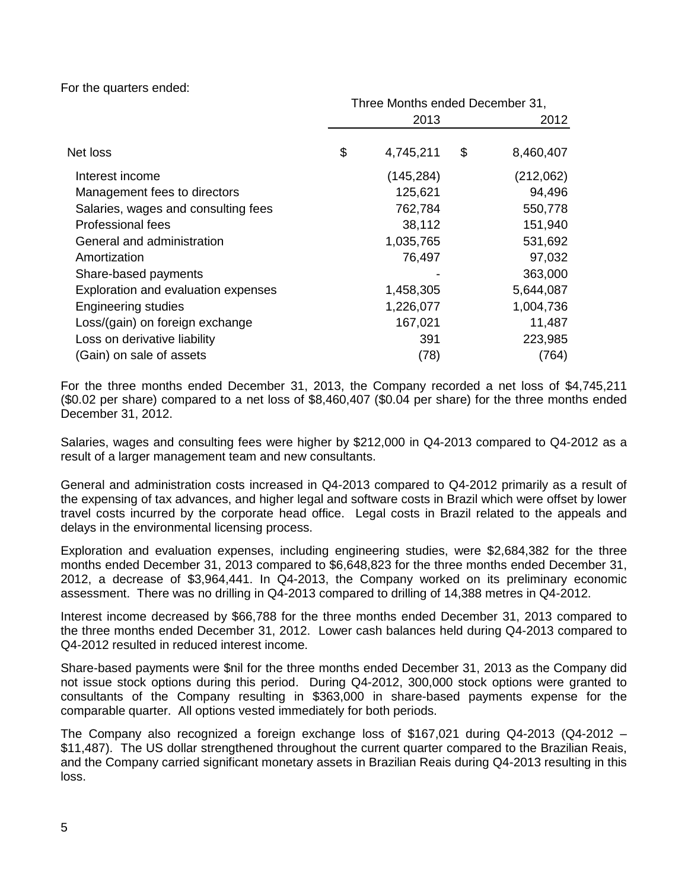For the quarters ended:

|                                     | Three Months ended December 31, |    |           |  |
|-------------------------------------|---------------------------------|----|-----------|--|
|                                     | 2013                            |    | 2012      |  |
| Net loss                            | \$<br>4,745,211                 | \$ | 8,460,407 |  |
| Interest income                     | (145, 284)                      |    | (212,062) |  |
| Management fees to directors        | 125,621                         |    | 94,496    |  |
| Salaries, wages and consulting fees | 762,784                         |    | 550,778   |  |
| Professional fees                   | 38,112                          |    | 151,940   |  |
| General and administration          | 1,035,765                       |    | 531,692   |  |
| Amortization                        | 76,497                          |    | 97,032    |  |
| Share-based payments                |                                 |    | 363,000   |  |
| Exploration and evaluation expenses | 1,458,305                       |    | 5,644,087 |  |
| <b>Engineering studies</b>          | 1,226,077                       |    | 1,004,736 |  |
| Loss/(gain) on foreign exchange     | 167,021                         |    | 11,487    |  |
| Loss on derivative liability        | 391                             |    | 223,985   |  |
| (Gain) on sale of assets            | (78)                            |    | (764)     |  |

For the three months ended December 31, 2013, the Company recorded a net loss of \$4,745,211 (\$0.02 per share) compared to a net loss of \$8,460,407 (\$0.04 per share) for the three months ended December 31, 2012.

Salaries, wages and consulting fees were higher by \$212,000 in Q4-2013 compared to Q4-2012 as a result of a larger management team and new consultants.

General and administration costs increased in Q4-2013 compared to Q4-2012 primarily as a result of the expensing of tax advances, and higher legal and software costs in Brazil which were offset by lower travel costs incurred by the corporate head office. Legal costs in Brazil related to the appeals and delays in the environmental licensing process.

Exploration and evaluation expenses, including engineering studies, were \$2,684,382 for the three months ended December 31, 2013 compared to \$6,648,823 for the three months ended December 31, 2012, a decrease of \$3,964,441. In Q4-2013, the Company worked on its preliminary economic assessment. There was no drilling in Q4-2013 compared to drilling of 14,388 metres in Q4-2012.

Interest income decreased by \$66,788 for the three months ended December 31, 2013 compared to the three months ended December 31, 2012. Lower cash balances held during Q4-2013 compared to Q4-2012 resulted in reduced interest income.

Share-based payments were \$nil for the three months ended December 31, 2013 as the Company did not issue stock options during this period. During Q4-2012, 300,000 stock options were granted to consultants of the Company resulting in \$363,000 in share-based payments expense for the comparable quarter. All options vested immediately for both periods.

The Company also recognized a foreign exchange loss of \$167,021 during Q4-2013 (Q4-2012 – \$11,487). The US dollar strengthened throughout the current quarter compared to the Brazilian Reais, and the Company carried significant monetary assets in Brazilian Reais during Q4-2013 resulting in this loss.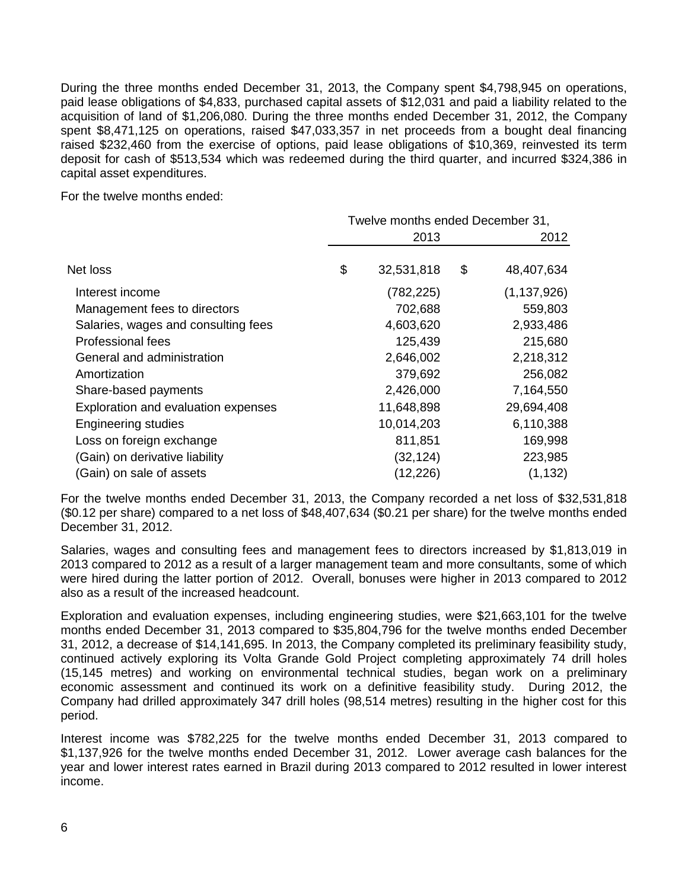During the three months ended December 31, 2013, the Company spent \$4,798,945 on operations, paid lease obligations of \$4,833, purchased capital assets of \$12,031 and paid a liability related to the acquisition of land of \$1,206,080. During the three months ended December 31, 2012, the Company spent \$8,471,125 on operations, raised \$47,033,357 in net proceeds from a bought deal financing raised \$232,460 from the exercise of options, paid lease obligations of \$10,369, reinvested its term deposit for cash of \$513,534 which was redeemed during the third quarter, and incurred \$324,386 in capital asset expenditures.

For the twelve months ended:

|                                     | Twelve months ended December 31, |    |               |  |
|-------------------------------------|----------------------------------|----|---------------|--|
|                                     | 2013                             |    | 2012          |  |
| Net loss                            | \$<br>32,531,818                 | \$ | 48,407,634    |  |
| Interest income                     | (782, 225)                       |    | (1, 137, 926) |  |
| Management fees to directors        | 702,688                          |    | 559,803       |  |
| Salaries, wages and consulting fees | 4,603,620                        |    | 2,933,486     |  |
| Professional fees                   | 125,439                          |    | 215,680       |  |
| General and administration          | 2,646,002                        |    | 2,218,312     |  |
| Amortization                        | 379,692                          |    | 256,082       |  |
| Share-based payments                | 2,426,000                        |    | 7,164,550     |  |
| Exploration and evaluation expenses | 11,648,898                       |    | 29,694,408    |  |
| <b>Engineering studies</b>          | 10,014,203                       |    | 6,110,388     |  |
| Loss on foreign exchange            | 811,851                          |    | 169,998       |  |
| (Gain) on derivative liability      | (32, 124)                        |    | 223,985       |  |
| (Gain) on sale of assets            | (12, 226)                        |    | (1, 132)      |  |

For the twelve months ended December 31, 2013, the Company recorded a net loss of \$32,531,818 (\$0.12 per share) compared to a net loss of \$48,407,634 (\$0.21 per share) for the twelve months ended December 31, 2012.

Salaries, wages and consulting fees and management fees to directors increased by \$1,813,019 in 2013 compared to 2012 as a result of a larger management team and more consultants, some of which were hired during the latter portion of 2012. Overall, bonuses were higher in 2013 compared to 2012 also as a result of the increased headcount.

Exploration and evaluation expenses, including engineering studies, were \$21,663,101 for the twelve months ended December 31, 2013 compared to \$35,804,796 for the twelve months ended December 31, 2012, a decrease of \$14,141,695. In 2013, the Company completed its preliminary feasibility study, continued actively exploring its Volta Grande Gold Project completing approximately 74 drill holes (15,145 metres) and working on environmental technical studies, began work on a preliminary economic assessment and continued its work on a definitive feasibility study. During 2012, the Company had drilled approximately 347 drill holes (98,514 metres) resulting in the higher cost for this period.

Interest income was \$782,225 for the twelve months ended December 31, 2013 compared to \$1,137,926 for the twelve months ended December 31, 2012. Lower average cash balances for the year and lower interest rates earned in Brazil during 2013 compared to 2012 resulted in lower interest income.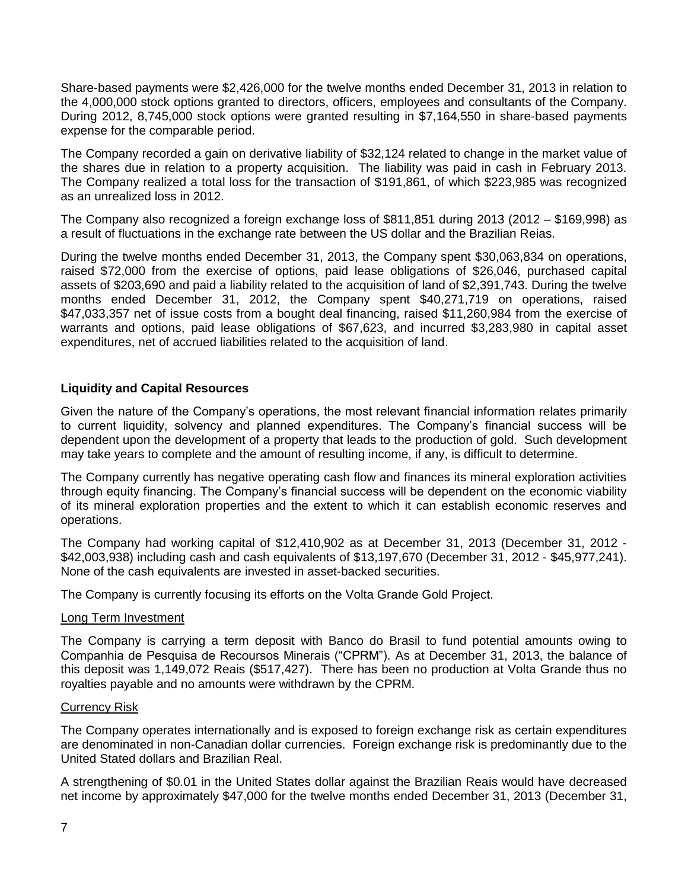Share-based payments were \$2,426,000 for the twelve months ended December 31, 2013 in relation to the 4,000,000 stock options granted to directors, officers, employees and consultants of the Company. During 2012, 8,745,000 stock options were granted resulting in \$7,164,550 in share-based payments expense for the comparable period.

The Company recorded a gain on derivative liability of \$32,124 related to change in the market value of the shares due in relation to a property acquisition. The liability was paid in cash in February 2013. The Company realized a total loss for the transaction of \$191,861, of which \$223,985 was recognized as an unrealized loss in 2012.

The Company also recognized a foreign exchange loss of \$811,851 during 2013 (2012 – \$169,998) as a result of fluctuations in the exchange rate between the US dollar and the Brazilian Reias.

During the twelve months ended December 31, 2013, the Company spent \$30,063,834 on operations, raised \$72,000 from the exercise of options, paid lease obligations of \$26,046, purchased capital assets of \$203,690 and paid a liability related to the acquisition of land of \$2,391,743. During the twelve months ended December 31, 2012, the Company spent \$40,271,719 on operations, raised \$47,033,357 net of issue costs from a bought deal financing, raised \$11,260,984 from the exercise of warrants and options, paid lease obligations of \$67,623, and incurred \$3,283,980 in capital asset expenditures, net of accrued liabilities related to the acquisition of land.

#### **Liquidity and Capital Resources**

Given the nature of the Company's operations, the most relevant financial information relates primarily to current liquidity, solvency and planned expenditures. The Company's financial success will be dependent upon the development of a property that leads to the production of gold. Such development may take years to complete and the amount of resulting income, if any, is difficult to determine.

The Company currently has negative operating cash flow and finances its mineral exploration activities through equity financing. The Company's financial success will be dependent on the economic viability of its mineral exploration properties and the extent to which it can establish economic reserves and operations.

The Company had working capital of \$12,410,902 as at December 31, 2013 (December 31, 2012 - \$42,003,938) including cash and cash equivalents of \$13,197,670 (December 31, 2012 - \$45,977,241). None of the cash equivalents are invested in asset-backed securities.

The Company is currently focusing its efforts on the Volta Grande Gold Project.

#### Long Term Investment

The Company is carrying a term deposit with Banco do Brasil to fund potential amounts owing to Companhia de Pesquisa de Recoursos Minerais ("CPRM"). As at December 31, 2013, the balance of this deposit was 1,149,072 Reais (\$517,427). There has been no production at Volta Grande thus no royalties payable and no amounts were withdrawn by the CPRM.

#### Currency Risk

The Company operates internationally and is exposed to foreign exchange risk as certain expenditures are denominated in non-Canadian dollar currencies. Foreign exchange risk is predominantly due to the United Stated dollars and Brazilian Real.

A strengthening of \$0.01 in the United States dollar against the Brazilian Reais would have decreased net income by approximately \$47,000 for the twelve months ended December 31, 2013 (December 31,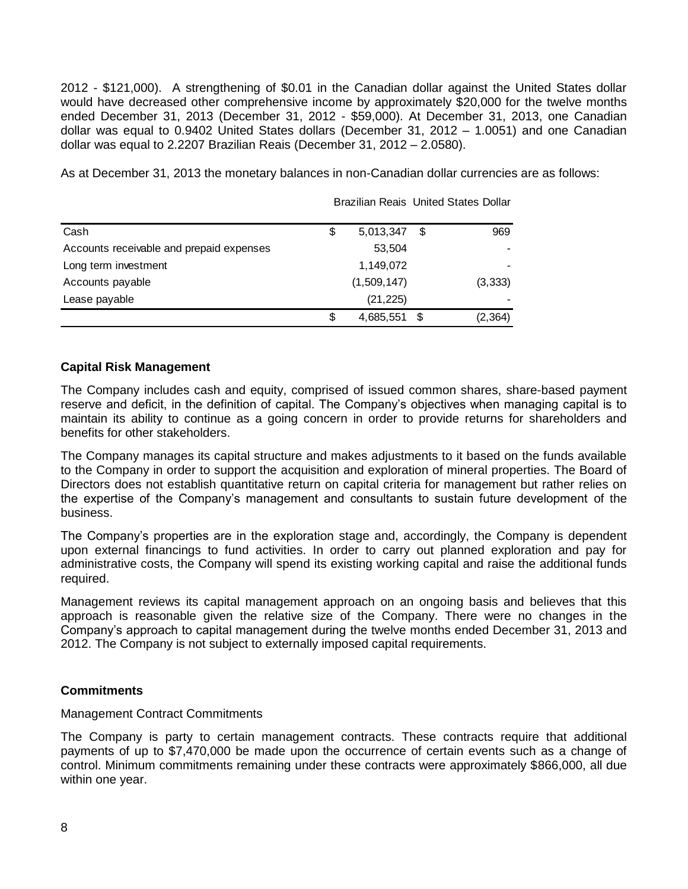2012 - \$121,000). A strengthening of \$0.01 in the Canadian dollar against the United States dollar would have decreased other comprehensive income by approximately \$20,000 for the twelve months ended December 31, 2013 (December 31, 2012 - \$59,000). At December 31, 2013, one Canadian dollar was equal to 0.9402 United States dollars (December 31, 2012 – 1.0051) and one Canadian dollar was equal to 2.2207 Brazilian Reais (December 31, 2012 – 2.0580).

Brazilian Reais United States Dollar

As at December 31, 2013 the monetary balances in non-Canadian dollar currencies are as follows:

|                                          |                 | Prazinan Roald Unitod Utatou Dollar |
|------------------------------------------|-----------------|-------------------------------------|
| Cash                                     | \$<br>5,013,347 | \$<br>969                           |
| Accounts receivable and prepaid expenses | 53,504          |                                     |
| Long term investment                     | 1,149,072       |                                     |
| Accounts payable                         | (1,509,147)     | (3, 333)                            |
| Lease payable                            | (21, 225)       |                                     |
|                                          | \$<br>4,685,551 | (2,364)                             |

#### **Capital Risk Management**

The Company includes cash and equity, comprised of issued common shares, share-based payment reserve and deficit, in the definition of capital. The Company's objectives when managing capital is to maintain its ability to continue as a going concern in order to provide returns for shareholders and benefits for other stakeholders.

The Company manages its capital structure and makes adjustments to it based on the funds available to the Company in order to support the acquisition and exploration of mineral properties. The Board of Directors does not establish quantitative return on capital criteria for management but rather relies on the expertise of the Company's management and consultants to sustain future development of the business.

The Company's properties are in the exploration stage and, accordingly, the Company is dependent upon external financings to fund activities. In order to carry out planned exploration and pay for administrative costs, the Company will spend its existing working capital and raise the additional funds required.

Management reviews its capital management approach on an ongoing basis and believes that this approach is reasonable given the relative size of the Company. There were no changes in the Company's approach to capital management during the twelve months ended December 31, 2013 and 2012. The Company is not subject to externally imposed capital requirements.

#### **Commitments**

#### Management Contract Commitments

The Company is party to certain management contracts. These contracts require that additional payments of up to \$7,470,000 be made upon the occurrence of certain events such as a change of control. Minimum commitments remaining under these contracts were approximately \$866,000, all due within one year.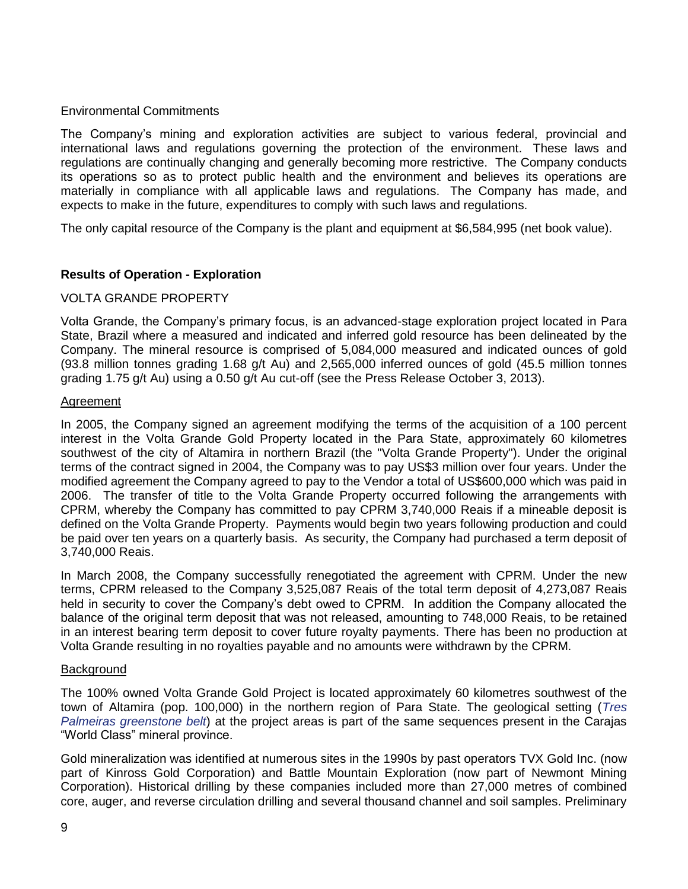## Environmental Commitments

The Company's mining and exploration activities are subject to various federal, provincial and international laws and regulations governing the protection of the environment. These laws and regulations are continually changing and generally becoming more restrictive. The Company conducts its operations so as to protect public health and the environment and believes its operations are materially in compliance with all applicable laws and regulations. The Company has made, and expects to make in the future, expenditures to comply with such laws and regulations.

The only capital resource of the Company is the plant and equipment at \$6,584,995 (net book value).

## **Results of Operation - Exploration**

#### VOLTA GRANDE PROPERTY

Volta Grande, the Company's primary focus, is an advanced-stage exploration project located in Para State, Brazil where a measured and indicated and inferred gold resource has been delineated by the Company. The mineral resource is comprised of 5,084,000 measured and indicated ounces of gold (93.8 million tonnes grading 1.68 g/t Au) and 2,565,000 inferred ounces of gold (45.5 million tonnes grading 1.75 g/t Au) using a 0.50 g/t Au cut-off (see the Press Release October 3, 2013).

#### Agreement

In 2005, the Company signed an agreement modifying the terms of the acquisition of a 100 percent interest in the Volta Grande Gold Property located in the Para State, approximately 60 kilometres southwest of the city of Altamira in northern Brazil (the "Volta Grande Property"). Under the original terms of the contract signed in 2004, the Company was to pay US\$3 million over four years. Under the modified agreement the Company agreed to pay to the Vendor a total of US\$600,000 which was paid in 2006. The transfer of title to the Volta Grande Property occurred following the arrangements with CPRM, whereby the Company has committed to pay CPRM 3,740,000 Reais if a mineable deposit is defined on the Volta Grande Property. Payments would begin two years following production and could be paid over ten years on a quarterly basis. As security, the Company had purchased a term deposit of 3,740,000 Reais.

In March 2008, the Company successfully renegotiated the agreement with CPRM. Under the new terms, CPRM released to the Company 3,525,087 Reais of the total term deposit of 4,273,087 Reais held in security to cover the Company's debt owed to CPRM. In addition the Company allocated the balance of the original term deposit that was not released, amounting to 748,000 Reais, to be retained in an interest bearing term deposit to cover future royalty payments. There has been no production at Volta Grande resulting in no royalties payable and no amounts were withdrawn by the CPRM.

#### **Background**

The 100% owned Volta Grande Gold Project is located approximately 60 kilometres southwest of the town of Altamira (pop. 100,000) in the northern region of Para State. The geological setting (*Tres Palmeiras greenstone belt*) at the project areas is part of the same sequences present in the Carajas "World Class" mineral province.

Gold mineralization was identified at numerous sites in the 1990s by past operators TVX Gold Inc. (now part of Kinross Gold Corporation) and Battle Mountain Exploration (now part of Newmont Mining Corporation). Historical drilling by these companies included more than 27,000 metres of combined core, auger, and reverse circulation drilling and several thousand channel and soil samples. Preliminary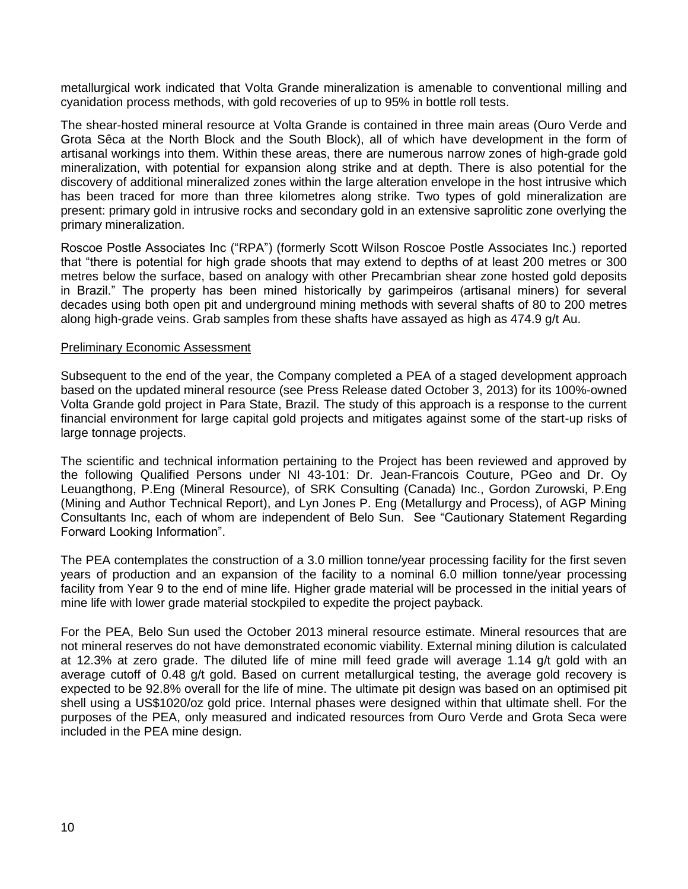metallurgical work indicated that Volta Grande mineralization is amenable to conventional milling and cyanidation process methods, with gold recoveries of up to 95% in bottle roll tests.

The shear-hosted mineral resource at Volta Grande is contained in three main areas (Ouro Verde and Grota Sêca at the North Block and the South Block), all of which have development in the form of artisanal workings into them. Within these areas, there are numerous narrow zones of high-grade gold mineralization, with potential for expansion along strike and at depth. There is also potential for the discovery of additional mineralized zones within the large alteration envelope in the host intrusive which has been traced for more than three kilometres along strike. Two types of gold mineralization are present: primary gold in intrusive rocks and secondary gold in an extensive saprolitic zone overlying the primary mineralization.

Roscoe Postle Associates Inc ("RPA") (formerly Scott Wilson Roscoe Postle Associates Inc.) reported that "there is potential for high grade shoots that may extend to depths of at least 200 metres or 300 metres below the surface, based on analogy with other Precambrian shear zone hosted gold deposits in Brazil." The property has been mined historically by garimpeiros (artisanal miners) for several decades using both open pit and underground mining methods with several shafts of 80 to 200 metres along high-grade veins. Grab samples from these shafts have assayed as high as 474.9 g/t Au.

#### Preliminary Economic Assessment

Subsequent to the end of the year, the Company completed a PEA of a staged development approach based on the updated mineral resource (see Press Release dated October 3, 2013) for its 100%-owned Volta Grande gold project in Para State, Brazil. The study of this approach is a response to the current financial environment for large capital gold projects and mitigates against some of the start-up risks of large tonnage projects.

The scientific and technical information pertaining to the Project has been reviewed and approved by the following Qualified Persons under NI 43-101: Dr. Jean-Francois Couture, PGeo and Dr. Oy Leuangthong, P.Eng (Mineral Resource), of SRK Consulting (Canada) Inc., Gordon Zurowski, P.Eng (Mining and Author Technical Report), and Lyn Jones P. Eng (Metallurgy and Process), of AGP Mining Consultants Inc, each of whom are independent of Belo Sun. See "Cautionary Statement Regarding Forward Looking Information".

The PEA contemplates the construction of a 3.0 million tonne/year processing facility for the first seven years of production and an expansion of the facility to a nominal 6.0 million tonne/year processing facility from Year 9 to the end of mine life. Higher grade material will be processed in the initial years of mine life with lower grade material stockpiled to expedite the project payback.

For the PEA, Belo Sun used the October 2013 mineral resource estimate. Mineral resources that are not mineral reserves do not have demonstrated economic viability. External mining dilution is calculated at 12.3% at zero grade. The diluted life of mine mill feed grade will average 1.14 g/t gold with an average cutoff of 0.48 g/t gold. Based on current metallurgical testing, the average gold recovery is expected to be 92.8% overall for the life of mine. The ultimate pit design was based on an optimised pit shell using a US\$1020/oz gold price. Internal phases were designed within that ultimate shell. For the purposes of the PEA, only measured and indicated resources from Ouro Verde and Grota Seca were included in the PEA mine design.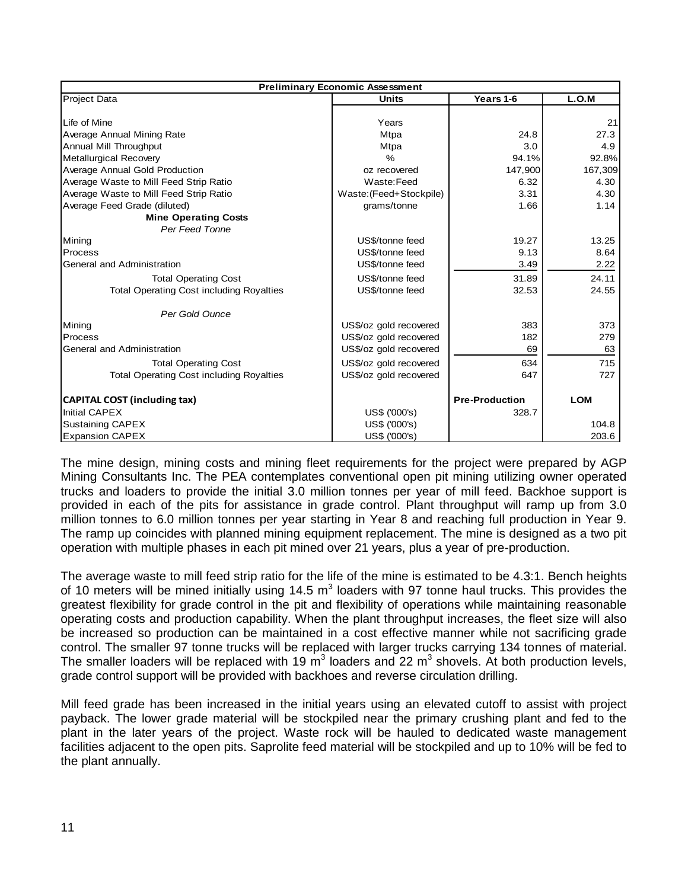| <b>Preliminary Economic Assessment</b>          |                                    |                       |            |  |  |  |
|-------------------------------------------------|------------------------------------|-----------------------|------------|--|--|--|
| Project Data                                    | L.O.M<br>Years 1-6<br><b>Units</b> |                       |            |  |  |  |
|                                                 |                                    |                       |            |  |  |  |
| Life of Mine                                    | Years                              |                       | 21         |  |  |  |
| Average Annual Mining Rate                      | Mtpa                               | 24.8                  | 27.3       |  |  |  |
| Annual Mill Throughput                          | <b>Mtpa</b>                        | 3.0                   | 4.9        |  |  |  |
| Metallurgical Recovery                          | $\frac{9}{6}$                      | 94.1%                 | 92.8%      |  |  |  |
| Average Annual Gold Production                  | oz recovered                       | 147,900               | 167,309    |  |  |  |
| Average Waste to Mill Feed Strip Ratio          | Waste:Feed                         | 6.32                  | 4.30       |  |  |  |
| Average Waste to Mill Feed Strip Ratio          | Waste: (Feed+Stockpile)            | 3.31                  | 4.30       |  |  |  |
| Average Feed Grade (diluted)                    | grams/tonne                        | 1.66                  | 1.14       |  |  |  |
| <b>Mine Operating Costs</b>                     |                                    |                       |            |  |  |  |
| Per Feed Tonne                                  |                                    |                       |            |  |  |  |
| Mining                                          | US\$/tonne feed                    | 19.27                 | 13.25      |  |  |  |
| Process                                         | US\$/tonne feed                    | 9.13                  | 8.64       |  |  |  |
| General and Administration                      | US\$/tonne feed                    | 3.49                  | 2.22       |  |  |  |
| <b>Total Operating Cost</b>                     | US\$/tonne feed                    | 31.89                 | 24.11      |  |  |  |
| <b>Total Operating Cost including Royalties</b> | US\$/tonne feed                    | 32.53                 | 24.55      |  |  |  |
| Per Gold Ounce                                  |                                    |                       |            |  |  |  |
| Mining                                          | US\$/oz gold recovered             | 383                   | 373        |  |  |  |
| Process                                         | US\$/oz gold recovered             | 182                   | 279        |  |  |  |
| General and Administration                      | US\$/oz gold recovered             | 69                    | 63         |  |  |  |
| <b>Total Operating Cost</b>                     | US\$/oz gold recovered             | 634                   | 715        |  |  |  |
| <b>Total Operating Cost including Royalties</b> | US\$/oz gold recovered             | 647                   | 727        |  |  |  |
| <b>CAPITAL COST (including tax)</b>             |                                    | <b>Pre-Production</b> | <b>LOM</b> |  |  |  |
| <b>Initial CAPEX</b>                            | US\$ ('000's)                      | 328.7                 |            |  |  |  |
| <b>Sustaining CAPEX</b>                         | US\$ ('000's)                      |                       | 104.8      |  |  |  |
| <b>Expansion CAPEX</b>                          | US\$ ('000's)                      |                       | 203.6      |  |  |  |

The mine design, mining costs and mining fleet requirements for the project were prepared by AGP Mining Consultants Inc. The PEA contemplates conventional open pit mining utilizing owner operated trucks and loaders to provide the initial 3.0 million tonnes per year of mill feed. Backhoe support is provided in each of the pits for assistance in grade control. Plant throughput will ramp up from 3.0 million tonnes to 6.0 million tonnes per year starting in Year 8 and reaching full production in Year 9. The ramp up coincides with planned mining equipment replacement. The mine is designed as a two pit operation with multiple phases in each pit mined over 21 years, plus a year of pre-production.

The average waste to mill feed strip ratio for the life of the mine is estimated to be 4.3:1. Bench heights of 10 meters will be mined initially using 14.5  $m^3$  loaders with 97 tonne haul trucks. This provides the greatest flexibility for grade control in the pit and flexibility of operations while maintaining reasonable operating costs and production capability. When the plant throughput increases, the fleet size will also be increased so production can be maintained in a cost effective manner while not sacrificing grade control. The smaller 97 tonne trucks will be replaced with larger trucks carrying 134 tonnes of material. The smaller loaders will be replaced with 19 m<sup>3</sup> loaders and 22 m<sup>3</sup> shovels. At both production levels, grade control support will be provided with backhoes and reverse circulation drilling.

Mill feed grade has been increased in the initial years using an elevated cutoff to assist with project payback. The lower grade material will be stockpiled near the primary crushing plant and fed to the plant in the later years of the project. Waste rock will be hauled to dedicated waste management facilities adjacent to the open pits. Saprolite feed material will be stockpiled and up to 10% will be fed to the plant annually.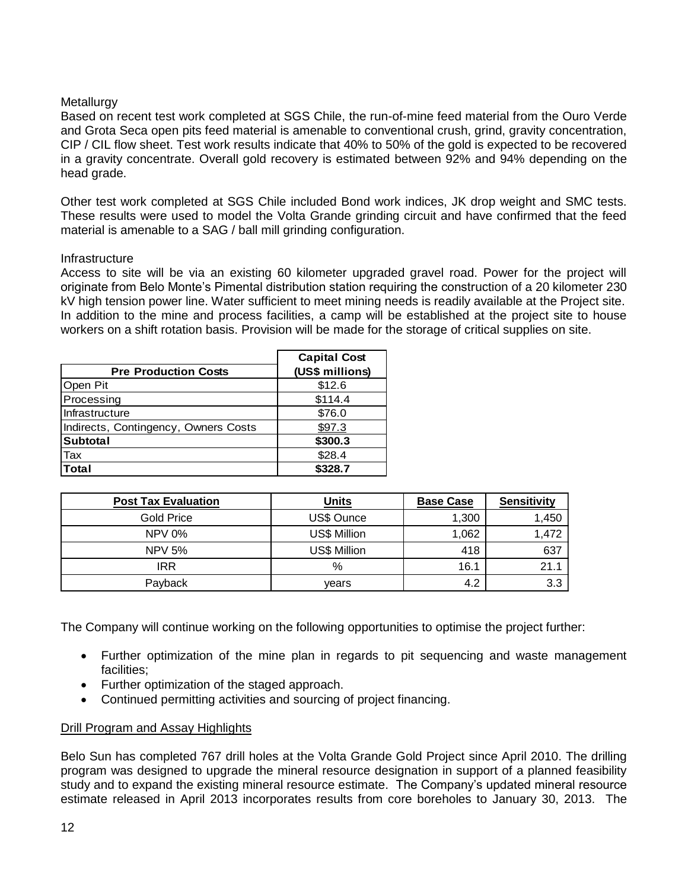## **Metallurgy**

Based on recent test work completed at SGS Chile, the run-of-mine feed material from the Ouro Verde and Grota Seca open pits feed material is amenable to conventional crush, grind, gravity concentration, CIP / CIL flow sheet. Test work results indicate that 40% to 50% of the gold is expected to be recovered in a gravity concentrate. Overall gold recovery is estimated between 92% and 94% depending on the head grade.

Other test work completed at SGS Chile included Bond work indices, JK drop weight and SMC tests. These results were used to model the Volta Grande grinding circuit and have confirmed that the feed material is amenable to a SAG / ball mill grinding configuration.

#### **Infrastructure**

Access to site will be via an existing 60 kilometer upgraded gravel road. Power for the project will originate from Belo Monte's Pimental distribution station requiring the construction of a 20 kilometer 230 kV high tension power line. Water sufficient to meet mining needs is readily available at the Project site. In addition to the mine and process facilities, a camp will be established at the project site to house workers on a shift rotation basis. Provision will be made for the storage of critical supplies on site.

| <b>Pre Production Costs</b>          | <b>Capital Cost</b><br>(US\$ millions) |
|--------------------------------------|----------------------------------------|
| Open Pit                             | \$12.6                                 |
| Processing                           | \$114.4                                |
| Infrastructure                       | \$76.0                                 |
| Indirects, Contingency, Owners Costs | \$97.3                                 |
| <b>Subtotal</b>                      | \$300.3                                |
| Tax                                  | \$28.4                                 |
| <b>Total</b>                         | \$328.7                                |

| <b>Post Tax Evaluation</b> | <b>Units</b> | <b>Base Case</b> | <b>Sensitivity</b> |
|----------------------------|--------------|------------------|--------------------|
| <b>Gold Price</b>          | US\$ Ounce   | 1,300            | 1,450              |
| $NPV$ 0%                   | US\$ Million | 1,062            | 1,472              |
| <b>NPV 5%</b>              | US\$ Million | 418              | 637                |
| IRR                        | %            | 16.1             | 21.1               |
| Payback                    | vears        | 4.2              | 3.3                |

The Company will continue working on the following opportunities to optimise the project further:

- Further optimization of the mine plan in regards to pit sequencing and waste management facilities;
- Further optimization of the staged approach.
- Continued permitting activities and sourcing of project financing.

## Drill Program and Assay Highlights

Belo Sun has completed 767 drill holes at the Volta Grande Gold Project since April 2010. The drilling program was designed to upgrade the mineral resource designation in support of a planned feasibility study and to expand the existing mineral resource estimate. The Company's updated mineral resource estimate released in April 2013 incorporates results from core boreholes to January 30, 2013. The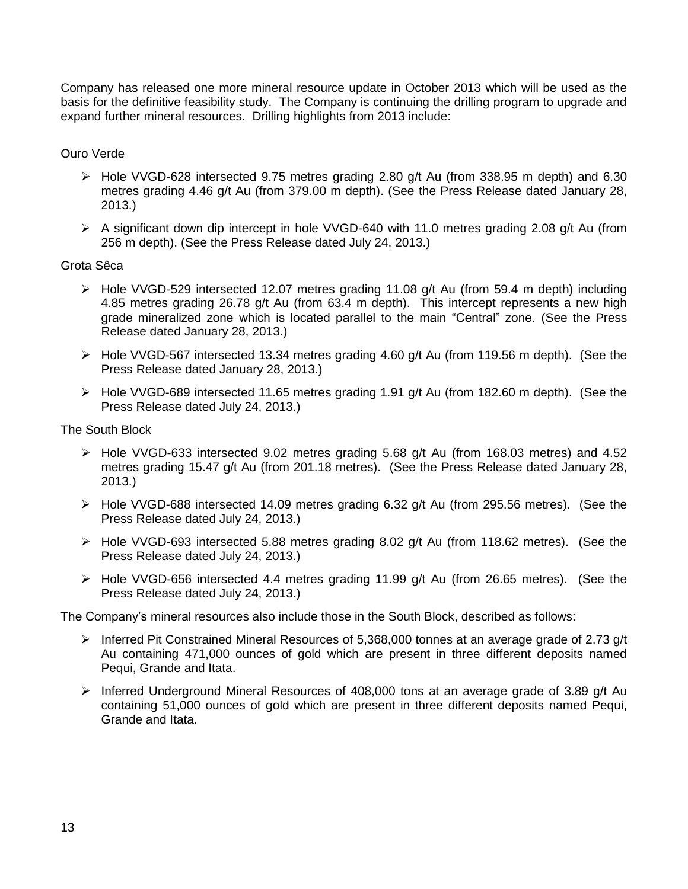Company has released one more mineral resource update in October 2013 which will be used as the basis for the definitive feasibility study. The Company is continuing the drilling program to upgrade and expand further mineral resources. Drilling highlights from 2013 include:

Ouro Verde

- Hole VVGD-628 intersected 9.75 metres grading 2.80 g/t Au (from 338.95 m depth) and 6.30 metres grading 4.46 g/t Au (from 379.00 m depth). (See the Press Release dated January 28, 2013.)
- $\triangleright$  A significant down dip intercept in hole VVGD-640 with 11.0 metres grading 2.08 g/t Au (from 256 m depth). (See the Press Release dated July 24, 2013.)

Grota Sêca

- Hole VVGD-529 intersected 12.07 metres grading 11.08 g/t Au (from 59.4 m depth) including 4.85 metres grading 26.78 g/t Au (from 63.4 m depth). This intercept represents a new high grade mineralized zone which is located parallel to the main "Central" zone. (See the Press Release dated January 28, 2013.)
- $\triangleright$  Hole VVGD-567 intersected 13.34 metres grading 4.60 g/t Au (from 119.56 m depth). (See the Press Release dated January 28, 2013.)
- Hole VVGD-689 intersected 11.65 metres grading 1.91 g/t Au (from 182.60 m depth). (See the Press Release dated July 24, 2013.)

The South Block

- $\triangleright$  Hole VVGD-633 intersected 9.02 metres grading 5.68 g/t Au (from 168.03 metres) and 4.52 metres grading 15.47 g/t Au (from 201.18 metres). (See the Press Release dated January 28, 2013.)
- $\triangleright$  Hole VVGD-688 intersected 14.09 metres grading 6.32 g/t Au (from 295.56 metres). (See the Press Release dated July 24, 2013.)
- $\triangleright$  Hole VVGD-693 intersected 5.88 metres grading 8.02 g/t Au (from 118.62 metres). (See the Press Release dated July 24, 2013.)
- Hole VVGD-656 intersected 4.4 metres grading 11.99 g/t Au (from 26.65 metres). (See the Press Release dated July 24, 2013.)

The Company's mineral resources also include those in the South Block, described as follows:

- $\triangleright$  Inferred Pit Constrained Mineral Resources of 5,368,000 tonnes at an average grade of 2.73 g/t Au containing 471,000 ounces of gold which are present in three different deposits named Pequi, Grande and Itata.
- > Inferred Underground Mineral Resources of 408,000 tons at an average grade of 3.89 g/t Au containing 51,000 ounces of gold which are present in three different deposits named Pequi, Grande and Itata.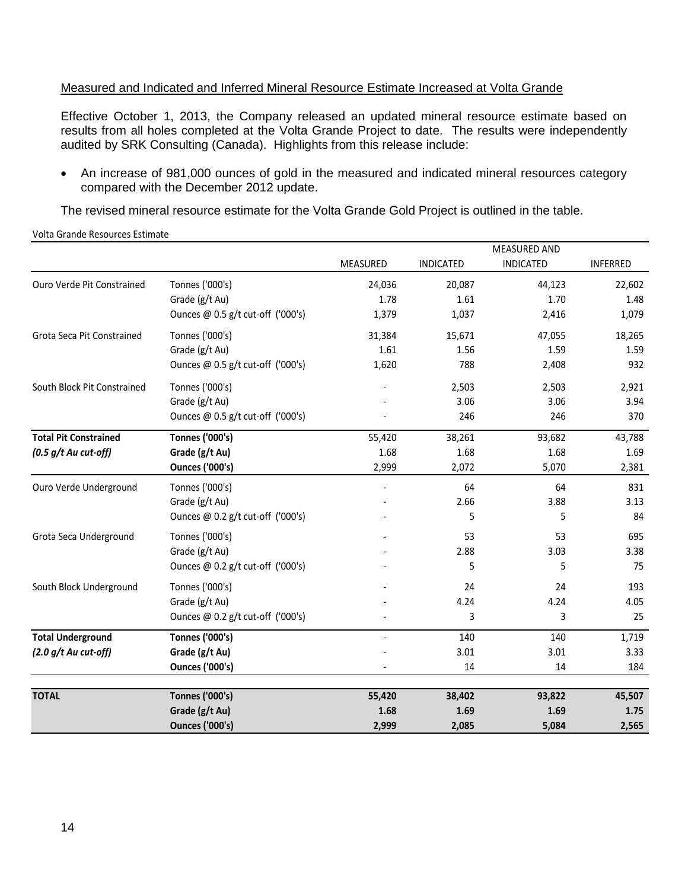## Measured and Indicated and Inferred Mineral Resource Estimate Increased at Volta Grande

Effective October 1, 2013, the Company released an updated mineral resource estimate based on results from all holes completed at the Volta Grande Project to date. The results were independently audited by SRK Consulting (Canada). Highlights from this release include:

• An increase of 981,000 ounces of gold in the measured and indicated mineral resources category compared with the December 2012 update.

MEASURED AND

The revised mineral resource estimate for the Volta Grande Gold Project is outlined in the table.

Volta Grande Resources Estimate

|                              |                                   |          |                  | MEASURED AND     |                 |
|------------------------------|-----------------------------------|----------|------------------|------------------|-----------------|
|                              |                                   | MEASURED | <b>INDICATED</b> | <b>INDICATED</b> | <b>INFERRED</b> |
| Ouro Verde Pit Constrained   | Tonnes ('000's)                   | 24,036   | 20,087           | 44,123           | 22,602          |
|                              | Grade (g/t Au)                    | 1.78     | 1.61             | 1.70             | 1.48            |
|                              | Ounces @ 0.5 g/t cut-off ('000's) | 1,379    | 1,037            | 2,416            | 1,079           |
| Grota Seca Pit Constrained   | Tonnes ('000's)                   | 31,384   | 15,671           | 47,055           | 18,265          |
|                              | Grade (g/t Au)                    | 1.61     | 1.56             | 1.59             | 1.59            |
|                              | Ounces @ 0.5 g/t cut-off ('000's) | 1,620    | 788              | 2,408            | 932             |
| South Block Pit Constrained  | Tonnes ('000's)                   |          | 2,503            | 2,503            | 2,921           |
|                              | Grade (g/t Au)                    |          | 3.06             | 3.06             | 3.94            |
|                              | Ounces @ 0.5 g/t cut-off ('000's) |          | 246              | 246              | 370             |
| <b>Total Pit Constrained</b> | <b>Tonnes ('000's)</b>            | 55,420   | 38,261           | 93,682           | 43,788          |
| $(0.5 g/t$ Au cut-off)       | Grade (g/t Au)                    | 1.68     | 1.68             | 1.68             | 1.69            |
|                              | <b>Ounces ('000's)</b>            | 2,999    | 2,072            | 5,070            | 2,381           |
| Ouro Verde Underground       | Tonnes ('000's)                   |          | 64               | 64               | 831             |
|                              | Grade (g/t Au)                    |          | 2.66             | 3.88             | 3.13            |
|                              | Ounces @ 0.2 g/t cut-off ('000's) |          | 5                | 5                | 84              |
| Grota Seca Underground       | Tonnes ('000's)                   |          | 53               | 53               | 695             |
|                              | Grade (g/t Au)                    |          | 2.88             | 3.03             | 3.38            |
|                              | Ounces @ 0.2 g/t cut-off ('000's) |          | 5                | 5                | 75              |
| South Block Underground      | Tonnes ('000's)                   |          | 24               | 24               | 193             |
|                              | Grade (g/t Au)                    |          | 4.24             | 4.24             | 4.05            |
|                              | Ounces @ 0.2 g/t cut-off ('000's) |          | 3                | 3                | 25              |
| <b>Total Underground</b>     | <b>Tonnes ('000's)</b>            |          | 140              | 140              | 1,719           |
| $(2.0 g/t$ Au cut-off)       | Grade (g/t Au)                    |          | 3.01             | 3.01             | 3.33            |
|                              | <b>Ounces ('000's)</b>            |          | 14               | 14               | 184             |
| <b>TOTAL</b>                 | <b>Tonnes ('000's)</b>            | 55,420   | 38,402           | 93,822           | 45,507          |
|                              | Grade (g/t Au)                    | 1.68     | 1.69             | 1.69             | 1.75            |
|                              | <b>Ounces ('000's)</b>            | 2,999    | 2,085            | 5,084            | 2,565           |
|                              |                                   |          |                  |                  |                 |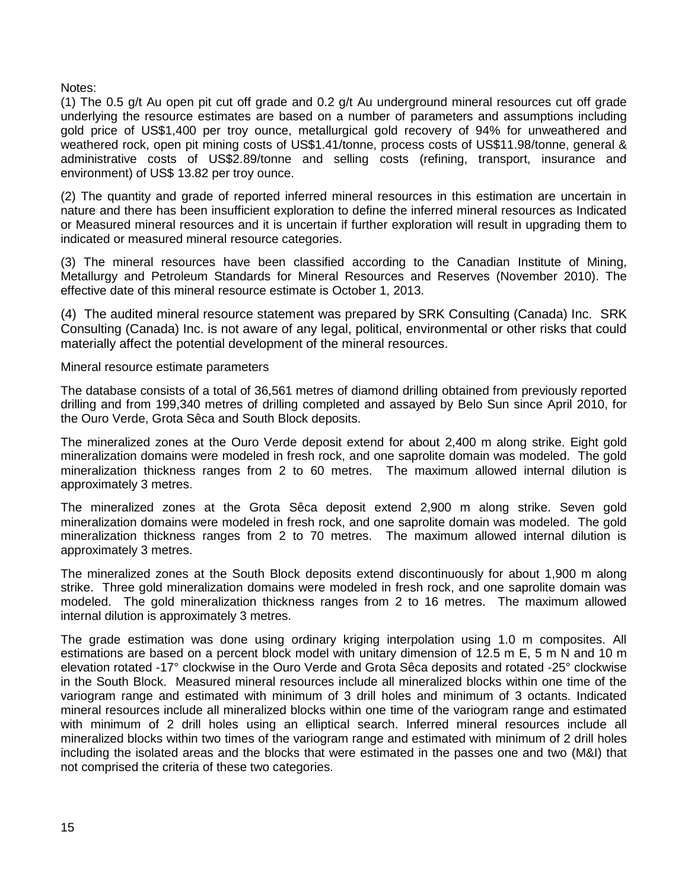Notes:

(1) The 0.5 g/t Au open pit cut off grade and 0.2 g/t Au underground mineral resources cut off grade underlying the resource estimates are based on a number of parameters and assumptions including gold price of US\$1,400 per troy ounce, metallurgical gold recovery of 94% for unweathered and weathered rock, open pit mining costs of US\$1.41/tonne, process costs of US\$11.98/tonne, general & administrative costs of US\$2.89/tonne and selling costs (refining, transport, insurance and environment) of US\$ 13.82 per troy ounce.

(2) The quantity and grade of reported inferred mineral resources in this estimation are uncertain in nature and there has been insufficient exploration to define the inferred mineral resources as Indicated or Measured mineral resources and it is uncertain if further exploration will result in upgrading them to indicated or measured mineral resource categories.

(3) The mineral resources have been classified according to the Canadian Institute of Mining, Metallurgy and Petroleum Standards for Mineral Resources and Reserves (November 2010). The effective date of this mineral resource estimate is October 1, 2013.

(4) The audited mineral resource statement was prepared by SRK Consulting (Canada) Inc. SRK Consulting (Canada) Inc. is not aware of any legal, political, environmental or other risks that could materially affect the potential development of the mineral resources.

Mineral resource estimate parameters

The database consists of a total of 36,561 metres of diamond drilling obtained from previously reported drilling and from 199,340 metres of drilling completed and assayed by Belo Sun since April 2010, for the Ouro Verde, Grota Sêca and South Block deposits.

The mineralized zones at the Ouro Verde deposit extend for about 2,400 m along strike. Eight gold mineralization domains were modeled in fresh rock, and one saprolite domain was modeled. The gold mineralization thickness ranges from 2 to 60 metres. The maximum allowed internal dilution is approximately 3 metres.

The mineralized zones at the Grota Sêca deposit extend 2,900 m along strike. Seven gold mineralization domains were modeled in fresh rock, and one saprolite domain was modeled. The gold mineralization thickness ranges from 2 to 70 metres. The maximum allowed internal dilution is approximately 3 metres.

The mineralized zones at the South Block deposits extend discontinuously for about 1,900 m along strike. Three gold mineralization domains were modeled in fresh rock, and one saprolite domain was modeled. The gold mineralization thickness ranges from 2 to 16 metres. The maximum allowed internal dilution is approximately 3 metres.

The grade estimation was done using ordinary kriging interpolation using 1.0 m composites. All estimations are based on a percent block model with unitary dimension of 12.5 m E, 5 m N and 10 m elevation rotated -17° clockwise in the Ouro Verde and Grota Sêca deposits and rotated -25° clockwise in the South Block. Measured mineral resources include all mineralized blocks within one time of the variogram range and estimated with minimum of 3 drill holes and minimum of 3 octants. Indicated mineral resources include all mineralized blocks within one time of the variogram range and estimated with minimum of 2 drill holes using an elliptical search. Inferred mineral resources include all mineralized blocks within two times of the variogram range and estimated with minimum of 2 drill holes including the isolated areas and the blocks that were estimated in the passes one and two (M&I) that not comprised the criteria of these two categories.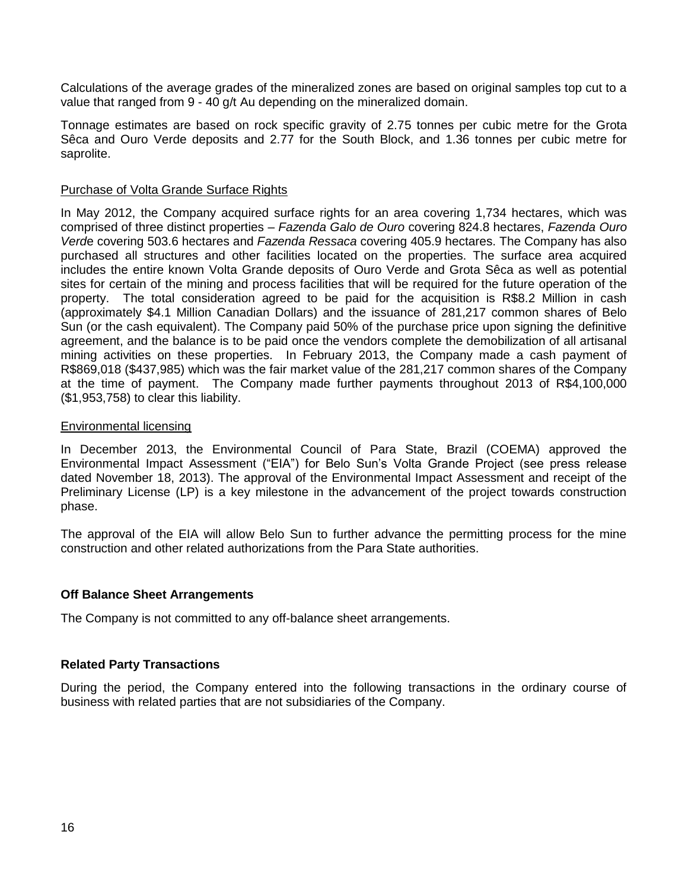Calculations of the average grades of the mineralized zones are based on original samples top cut to a value that ranged from 9 - 40 g/t Au depending on the mineralized domain.

Tonnage estimates are based on rock specific gravity of 2.75 tonnes per cubic metre for the Grota Sêca and Ouro Verde deposits and 2.77 for the South Block, and 1.36 tonnes per cubic metre for saprolite.

#### Purchase of Volta Grande Surface Rights

In May 2012, the Company acquired surface rights for an area covering 1,734 hectares, which was comprised of three distinct properties – *Fazenda Galo de Ouro* covering 824.8 hectares, *Fazenda Ouro Verd*e covering 503.6 hectares and *Fazenda Ressaca* covering 405.9 hectares. The Company has also purchased all structures and other facilities located on the properties. The surface area acquired includes the entire known Volta Grande deposits of Ouro Verde and Grota Sêca as well as potential sites for certain of the mining and process facilities that will be required for the future operation of the property. The total consideration agreed to be paid for the acquisition is R\$8.2 Million in cash (approximately \$4.1 Million Canadian Dollars) and the issuance of 281,217 common shares of Belo Sun (or the cash equivalent). The Company paid 50% of the purchase price upon signing the definitive agreement, and the balance is to be paid once the vendors complete the demobilization of all artisanal mining activities on these properties. In February 2013, the Company made a cash payment of R\$869,018 (\$437,985) which was the fair market value of the 281,217 common shares of the Company at the time of payment. The Company made further payments throughout 2013 of R\$4,100,000 (\$1,953,758) to clear this liability.

#### Environmental licensing

In December 2013, the Environmental Council of Para State, Brazil (COEMA) approved the Environmental Impact Assessment ("EIA") for Belo Sun's Volta Grande Project (see press release dated November 18, 2013). The approval of the Environmental Impact Assessment and receipt of the Preliminary License (LP) is a key milestone in the advancement of the project towards construction phase.

The approval of the EIA will allow Belo Sun to further advance the permitting process for the mine construction and other related authorizations from the Para State authorities.

#### **Off Balance Sheet Arrangements**

The Company is not committed to any off-balance sheet arrangements.

#### **Related Party Transactions**

During the period, the Company entered into the following transactions in the ordinary course of business with related parties that are not subsidiaries of the Company.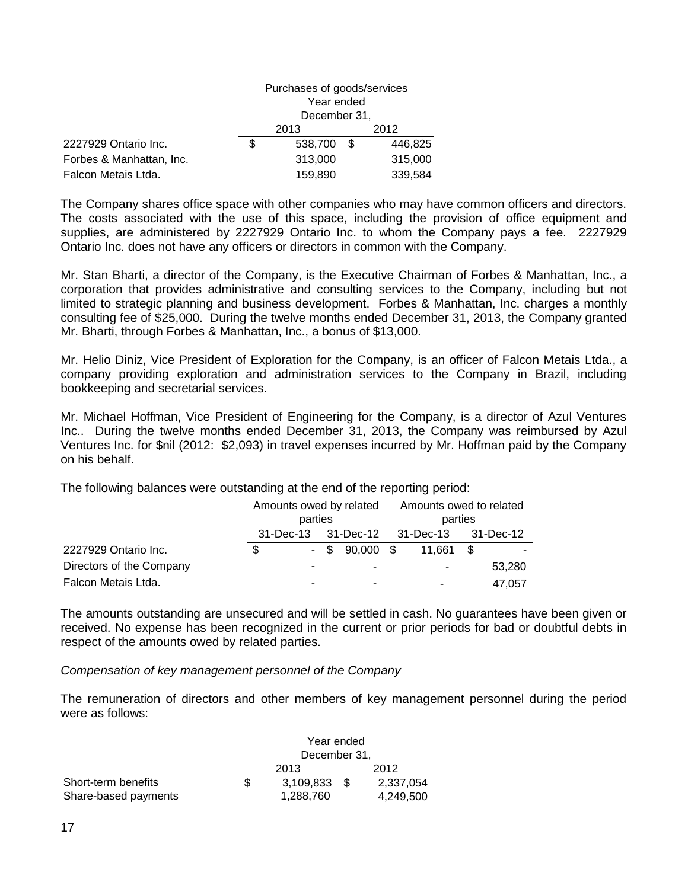|                          | Purchases of goods/services<br>Year ended<br>December 31, |         |      |         |  |
|--------------------------|-----------------------------------------------------------|---------|------|---------|--|
|                          | 2013                                                      |         |      | 2012    |  |
| 2227929 Ontario Inc.     | \$                                                        | 538,700 | - \$ | 446,825 |  |
| Forbes & Manhattan, Inc. |                                                           | 313,000 |      | 315,000 |  |
| Falcon Metais Ltda.      |                                                           | 159,890 |      | 339,584 |  |

The Company shares office space with other companies who may have common officers and directors. The costs associated with the use of this space, including the provision of office equipment and supplies, are administered by 2227929 Ontario Inc. to whom the Company pays a fee. 2227929 Ontario Inc. does not have any officers or directors in common with the Company.

Mr. Stan Bharti, a director of the Company, is the Executive Chairman of Forbes & Manhattan, Inc., a corporation that provides administrative and consulting services to the Company, including but not limited to strategic planning and business development. Forbes & Manhattan, Inc. charges a monthly consulting fee of \$25,000. During the twelve months ended December 31, 2013, the Company granted Mr. Bharti, through Forbes & Manhattan, Inc., a bonus of \$13,000.

Mr. Helio Diniz, Vice President of Exploration for the Company, is an officer of Falcon Metais Ltda., a company providing exploration and administration services to the Company in Brazil, including bookkeeping and secretarial services.

Mr. Michael Hoffman, Vice President of Engineering for the Company, is a director of Azul Ventures Inc.. During the twelve months ended December 31, 2013, the Company was reimbursed by Azul Ventures Inc. for \$nil (2012: \$2,093) in travel expenses incurred by Mr. Hoffman paid by the Company on his behalf.

The following balances were outstanding at the end of the reporting period:

|                          |   | Amounts owed by related |  |                  | Amounts owed to related |                |  |        |
|--------------------------|---|-------------------------|--|------------------|-------------------------|----------------|--|--------|
|                          |   | parties                 |  |                  | parties                 |                |  |        |
|                          |   |                         |  |                  |                         |                |  |        |
| 2227929 Ontario Inc.     | S |                         |  | $-$ \$ 90,000 \$ |                         | 11.661 \$      |  |        |
| Directors of the Company |   |                         |  | $\blacksquare$   |                         | $\blacksquare$ |  | 53,280 |
| Falcon Metais Ltda.      |   |                         |  | $\blacksquare$   |                         | ۰              |  | 47,057 |

The amounts outstanding are unsecured and will be settled in cash. No guarantees have been given or received. No expense has been recognized in the current or prior periods for bad or doubtful debts in respect of the amounts owed by related parties.

*Compensation of key management personnel of the Company*

The remuneration of directors and other members of key management personnel during the period were as follows:

|                      | Year ended   |           |      |           |  |
|----------------------|--------------|-----------|------|-----------|--|
|                      | December 31, |           |      |           |  |
|                      |              | 2013      | 2012 |           |  |
| Short-term benefits  |              | 3.109.833 |      | 2.337.054 |  |
| Share-based payments |              | 1,288,760 |      | 4.249.500 |  |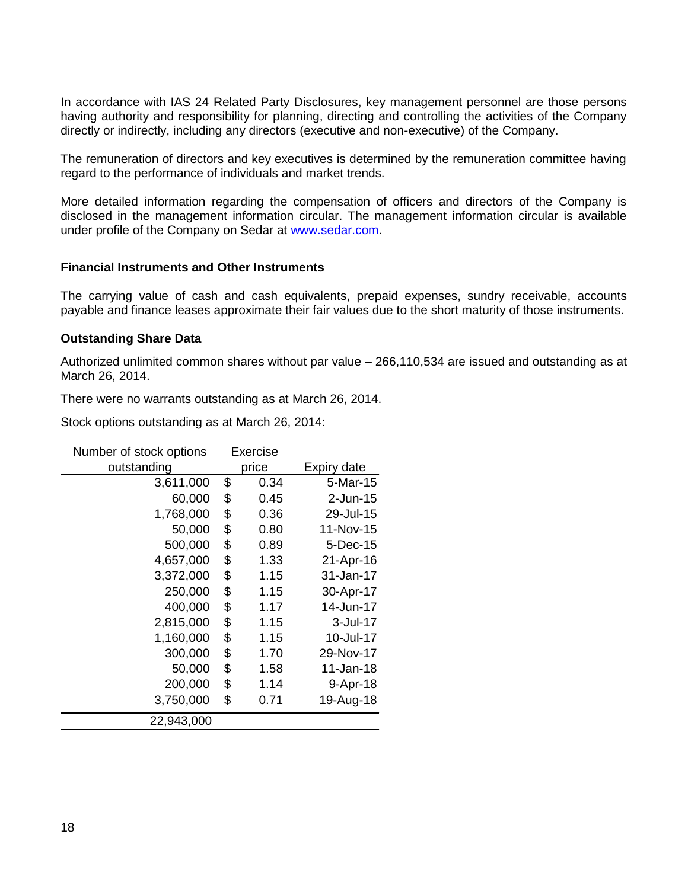In accordance with IAS 24 Related Party Disclosures, key management personnel are those persons having authority and responsibility for planning, directing and controlling the activities of the Company directly or indirectly, including any directors (executive and non-executive) of the Company.

The remuneration of directors and key executives is determined by the remuneration committee having regard to the performance of individuals and market trends.

More detailed information regarding the compensation of officers and directors of the Company is disclosed in the management information circular. The management information circular is available under profile of the Company on Sedar at [www.sedar.com.](http://www.sedar.com/)

#### **Financial Instruments and Other Instruments**

The carrying value of cash and cash equivalents, prepaid expenses, sundry receivable, accounts payable and finance leases approximate their fair values due to the short maturity of those instruments.

#### **Outstanding Share Data**

Authorized unlimited common shares without par value – 266,110,534 are issued and outstanding as at March 26, 2014.

There were no warrants outstanding as at March 26, 2014.

Stock options outstanding as at March 26, 2014:

| Number of stock options | Exercise   |             |
|-------------------------|------------|-------------|
| outstanding             | price      | Expiry date |
| 3,611,000               | \$<br>0.34 | $5-Mar-15$  |
| 60,000                  | \$<br>0.45 | $2$ -Jun-15 |
| 1,768,000               | \$<br>0.36 | 29-Jul-15   |
| 50,000                  | \$<br>0.80 | 11-Nov-15   |
| 500,000                 | \$<br>0.89 | 5-Dec-15    |
| 4,657,000               | \$<br>1.33 | 21-Apr-16   |
| 3,372,000               | \$<br>1.15 | 31-Jan-17   |
| 250,000                 | \$<br>1.15 | 30-Apr-17   |
| 400,000                 | \$<br>1.17 | 14-Jun-17   |
| 2,815,000               | \$<br>1.15 | 3-Jul-17    |
| 1,160,000               | \$<br>1.15 | 10-Jul-17   |
| 300,000                 | \$<br>1.70 | 29-Nov-17   |
| 50,000                  | \$<br>1.58 | 11-Jan-18   |
| 200,000                 | \$<br>1.14 | 9-Apr-18    |
| 3,750,000               | \$<br>0.71 | 19-Aug-18   |
| 22,943,000              |            |             |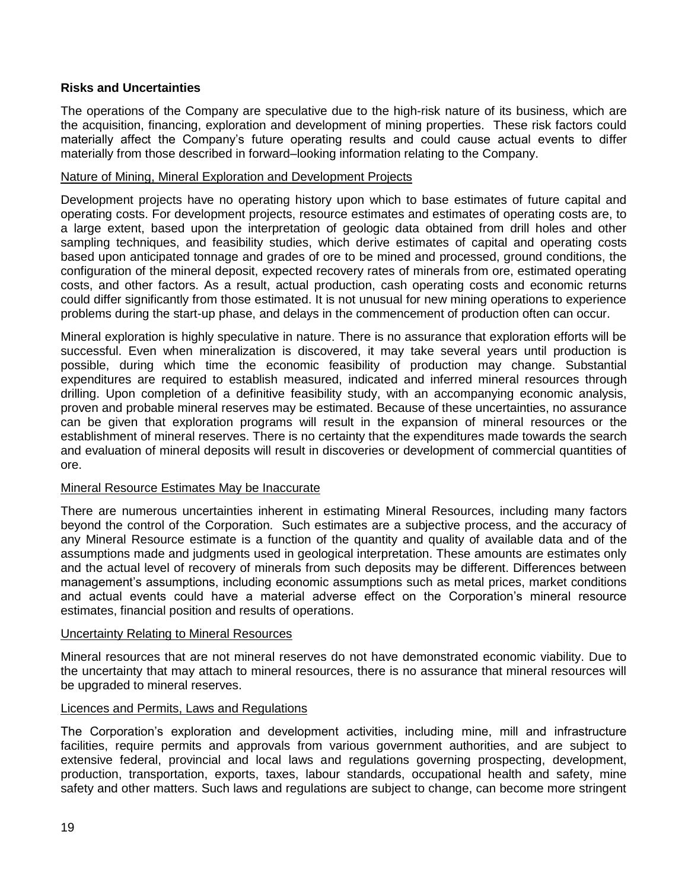## **Risks and Uncertainties**

The operations of the Company are speculative due to the high-risk nature of its business, which are the acquisition, financing, exploration and development of mining properties. These risk factors could materially affect the Company's future operating results and could cause actual events to differ materially from those described in forward–looking information relating to the Company.

#### Nature of Mining, Mineral Exploration and Development Projects

Development projects have no operating history upon which to base estimates of future capital and operating costs. For development projects, resource estimates and estimates of operating costs are, to a large extent, based upon the interpretation of geologic data obtained from drill holes and other sampling techniques, and feasibility studies, which derive estimates of capital and operating costs based upon anticipated tonnage and grades of ore to be mined and processed, ground conditions, the configuration of the mineral deposit, expected recovery rates of minerals from ore, estimated operating costs, and other factors. As a result, actual production, cash operating costs and economic returns could differ significantly from those estimated. It is not unusual for new mining operations to experience problems during the start-up phase, and delays in the commencement of production often can occur.

Mineral exploration is highly speculative in nature. There is no assurance that exploration efforts will be successful. Even when mineralization is discovered, it may take several years until production is possible, during which time the economic feasibility of production may change. Substantial expenditures are required to establish measured, indicated and inferred mineral resources through drilling. Upon completion of a definitive feasibility study, with an accompanying economic analysis, proven and probable mineral reserves may be estimated. Because of these uncertainties, no assurance can be given that exploration programs will result in the expansion of mineral resources or the establishment of mineral reserves. There is no certainty that the expenditures made towards the search and evaluation of mineral deposits will result in discoveries or development of commercial quantities of ore.

#### Mineral Resource Estimates May be Inaccurate

There are numerous uncertainties inherent in estimating Mineral Resources, including many factors beyond the control of the Corporation. Such estimates are a subjective process, and the accuracy of any Mineral Resource estimate is a function of the quantity and quality of available data and of the assumptions made and judgments used in geological interpretation. These amounts are estimates only and the actual level of recovery of minerals from such deposits may be different. Differences between management's assumptions, including economic assumptions such as metal prices, market conditions and actual events could have a material adverse effect on the Corporation's mineral resource estimates, financial position and results of operations.

#### Uncertainty Relating to Mineral Resources

Mineral resources that are not mineral reserves do not have demonstrated economic viability. Due to the uncertainty that may attach to mineral resources, there is no assurance that mineral resources will be upgraded to mineral reserves.

#### Licences and Permits, Laws and Regulations

The Corporation's exploration and development activities, including mine, mill and infrastructure facilities, require permits and approvals from various government authorities, and are subject to extensive federal, provincial and local laws and regulations governing prospecting, development, production, transportation, exports, taxes, labour standards, occupational health and safety, mine safety and other matters. Such laws and regulations are subject to change, can become more stringent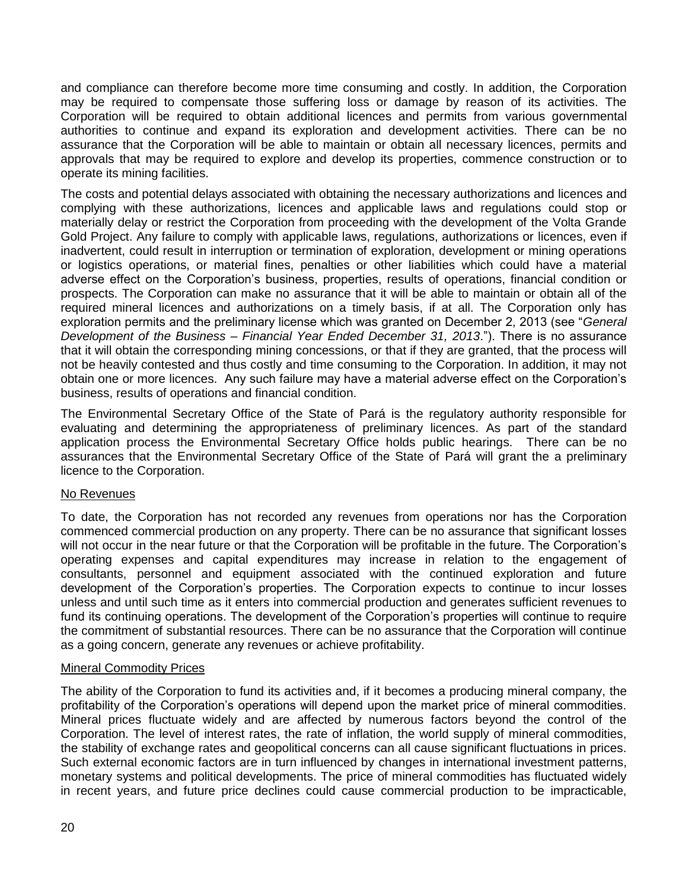and compliance can therefore become more time consuming and costly. In addition, the Corporation may be required to compensate those suffering loss or damage by reason of its activities. The Corporation will be required to obtain additional licences and permits from various governmental authorities to continue and expand its exploration and development activities. There can be no assurance that the Corporation will be able to maintain or obtain all necessary licences, permits and approvals that may be required to explore and develop its properties, commence construction or to operate its mining facilities.

The costs and potential delays associated with obtaining the necessary authorizations and licences and complying with these authorizations, licences and applicable laws and regulations could stop or materially delay or restrict the Corporation from proceeding with the development of the Volta Grande Gold Project. Any failure to comply with applicable laws, regulations, authorizations or licences, even if inadvertent, could result in interruption or termination of exploration, development or mining operations or logistics operations, or material fines, penalties or other liabilities which could have a material adverse effect on the Corporation's business, properties, results of operations, financial condition or prospects. The Corporation can make no assurance that it will be able to maintain or obtain all of the required mineral licences and authorizations on a timely basis, if at all. The Corporation only has exploration permits and the preliminary license which was granted on December 2, 2013 (see "*General Development of the Business – Financial Year Ended December 31, 2013*."). There is no assurance that it will obtain the corresponding mining concessions, or that if they are granted, that the process will not be heavily contested and thus costly and time consuming to the Corporation. In addition, it may not obtain one or more licences. Any such failure may have a material adverse effect on the Corporation's business, results of operations and financial condition.

The Environmental Secretary Office of the State of Pará is the regulatory authority responsible for evaluating and determining the appropriateness of preliminary licences. As part of the standard application process the Environmental Secretary Office holds public hearings. There can be no assurances that the Environmental Secretary Office of the State of Pará will grant the a preliminary licence to the Corporation.

## No Revenues

To date, the Corporation has not recorded any revenues from operations nor has the Corporation commenced commercial production on any property. There can be no assurance that significant losses will not occur in the near future or that the Corporation will be profitable in the future. The Corporation's operating expenses and capital expenditures may increase in relation to the engagement of consultants, personnel and equipment associated with the continued exploration and future development of the Corporation's properties. The Corporation expects to continue to incur losses unless and until such time as it enters into commercial production and generates sufficient revenues to fund its continuing operations. The development of the Corporation's properties will continue to require the commitment of substantial resources. There can be no assurance that the Corporation will continue as a going concern, generate any revenues or achieve profitability.

## Mineral Commodity Prices

The ability of the Corporation to fund its activities and, if it becomes a producing mineral company, the profitability of the Corporation's operations will depend upon the market price of mineral commodities. Mineral prices fluctuate widely and are affected by numerous factors beyond the control of the Corporation. The level of interest rates, the rate of inflation, the world supply of mineral commodities, the stability of exchange rates and geopolitical concerns can all cause significant fluctuations in prices. Such external economic factors are in turn influenced by changes in international investment patterns, monetary systems and political developments. The price of mineral commodities has fluctuated widely in recent years, and future price declines could cause commercial production to be impracticable,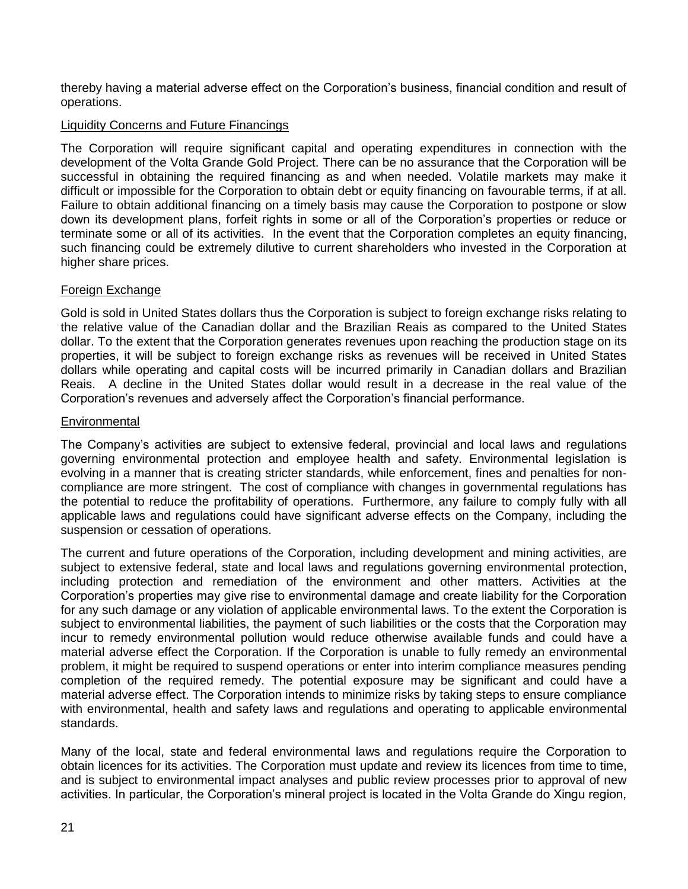thereby having a material adverse effect on the Corporation's business, financial condition and result of operations.

## Liquidity Concerns and Future Financings

The Corporation will require significant capital and operating expenditures in connection with the development of the Volta Grande Gold Project. There can be no assurance that the Corporation will be successful in obtaining the required financing as and when needed. Volatile markets may make it difficult or impossible for the Corporation to obtain debt or equity financing on favourable terms, if at all. Failure to obtain additional financing on a timely basis may cause the Corporation to postpone or slow down its development plans, forfeit rights in some or all of the Corporation's properties or reduce or terminate some or all of its activities. In the event that the Corporation completes an equity financing, such financing could be extremely dilutive to current shareholders who invested in the Corporation at higher share prices.

#### Foreign Exchange

Gold is sold in United States dollars thus the Corporation is subject to foreign exchange risks relating to the relative value of the Canadian dollar and the Brazilian Reais as compared to the United States dollar. To the extent that the Corporation generates revenues upon reaching the production stage on its properties, it will be subject to foreign exchange risks as revenues will be received in United States dollars while operating and capital costs will be incurred primarily in Canadian dollars and Brazilian Reais. A decline in the United States dollar would result in a decrease in the real value of the Corporation's revenues and adversely affect the Corporation's financial performance.

#### **Environmental**

The Company's activities are subject to extensive federal, provincial and local laws and regulations governing environmental protection and employee health and safety. Environmental legislation is evolving in a manner that is creating stricter standards, while enforcement, fines and penalties for noncompliance are more stringent. The cost of compliance with changes in governmental regulations has the potential to reduce the profitability of operations. Furthermore, any failure to comply fully with all applicable laws and regulations could have significant adverse effects on the Company, including the suspension or cessation of operations.

The current and future operations of the Corporation, including development and mining activities, are subject to extensive federal, state and local laws and regulations governing environmental protection, including protection and remediation of the environment and other matters. Activities at the Corporation's properties may give rise to environmental damage and create liability for the Corporation for any such damage or any violation of applicable environmental laws. To the extent the Corporation is subject to environmental liabilities, the payment of such liabilities or the costs that the Corporation may incur to remedy environmental pollution would reduce otherwise available funds and could have a material adverse effect the Corporation. If the Corporation is unable to fully remedy an environmental problem, it might be required to suspend operations or enter into interim compliance measures pending completion of the required remedy. The potential exposure may be significant and could have a material adverse effect. The Corporation intends to minimize risks by taking steps to ensure compliance with environmental, health and safety laws and regulations and operating to applicable environmental standards.

Many of the local, state and federal environmental laws and regulations require the Corporation to obtain licences for its activities. The Corporation must update and review its licences from time to time, and is subject to environmental impact analyses and public review processes prior to approval of new activities. In particular, the Corporation's mineral project is located in the Volta Grande do Xingu region,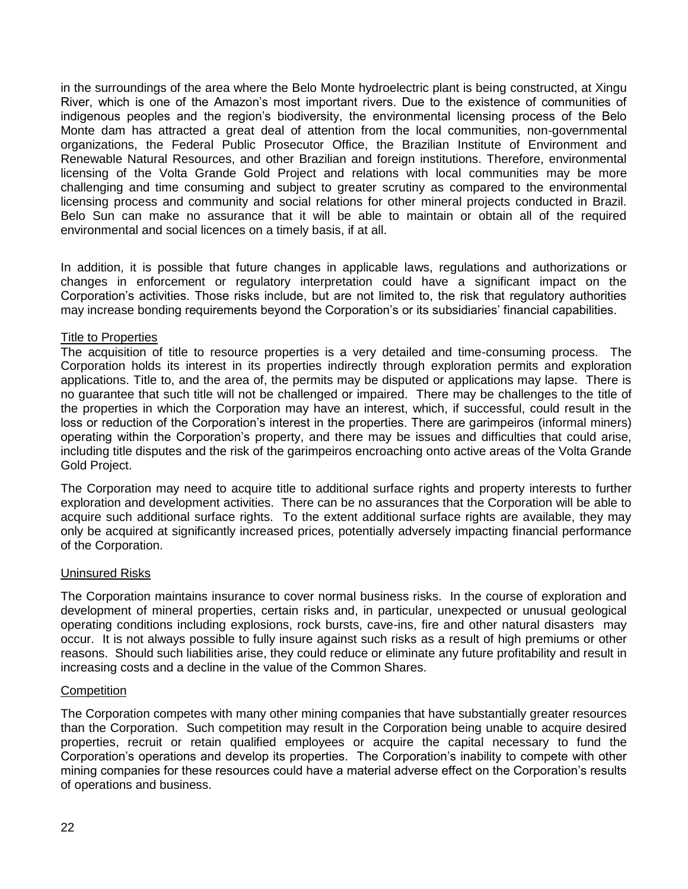in the surroundings of the area where the Belo Monte hydroelectric plant is being constructed, at Xingu River, which is one of the Amazon's most important rivers. Due to the existence of communities of indigenous peoples and the region's biodiversity, the environmental licensing process of the Belo Monte dam has attracted a great deal of attention from the local communities, non-governmental organizations, the Federal Public Prosecutor Office, the Brazilian Institute of Environment and Renewable Natural Resources, and other Brazilian and foreign institutions. Therefore, environmental licensing of the Volta Grande Gold Project and relations with local communities may be more challenging and time consuming and subject to greater scrutiny as compared to the environmental licensing process and community and social relations for other mineral projects conducted in Brazil. Belo Sun can make no assurance that it will be able to maintain or obtain all of the required environmental and social licences on a timely basis, if at all.

In addition, it is possible that future changes in applicable laws, regulations and authorizations or changes in enforcement or regulatory interpretation could have a significant impact on the Corporation's activities. Those risks include, but are not limited to, the risk that regulatory authorities may increase bonding requirements beyond the Corporation's or its subsidiaries' financial capabilities.

#### Title to Properties

The acquisition of title to resource properties is a very detailed and time-consuming process. The Corporation holds its interest in its properties indirectly through exploration permits and exploration applications. Title to, and the area of, the permits may be disputed or applications may lapse. There is no guarantee that such title will not be challenged or impaired. There may be challenges to the title of the properties in which the Corporation may have an interest, which, if successful, could result in the loss or reduction of the Corporation's interest in the properties. There are garimpeiros (informal miners) operating within the Corporation's property, and there may be issues and difficulties that could arise, including title disputes and the risk of the garimpeiros encroaching onto active areas of the Volta Grande Gold Project.

The Corporation may need to acquire title to additional surface rights and property interests to further exploration and development activities. There can be no assurances that the Corporation will be able to acquire such additional surface rights. To the extent additional surface rights are available, they may only be acquired at significantly increased prices, potentially adversely impacting financial performance of the Corporation.

#### Uninsured Risks

The Corporation maintains insurance to cover normal business risks. In the course of exploration and development of mineral properties, certain risks and, in particular, unexpected or unusual geological operating conditions including explosions, rock bursts, cave-ins, fire and other natural disasters may occur. It is not always possible to fully insure against such risks as a result of high premiums or other reasons. Should such liabilities arise, they could reduce or eliminate any future profitability and result in increasing costs and a decline in the value of the Common Shares.

#### **Competition**

The Corporation competes with many other mining companies that have substantially greater resources than the Corporation. Such competition may result in the Corporation being unable to acquire desired properties, recruit or retain qualified employees or acquire the capital necessary to fund the Corporation's operations and develop its properties. The Corporation's inability to compete with other mining companies for these resources could have a material adverse effect on the Corporation's results of operations and business.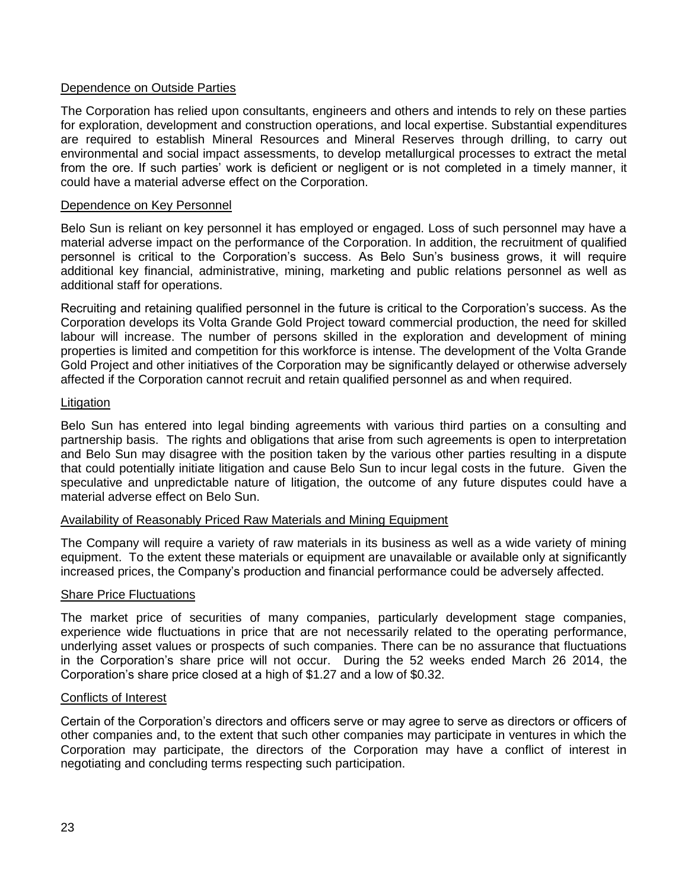## Dependence on Outside Parties

The Corporation has relied upon consultants, engineers and others and intends to rely on these parties for exploration, development and construction operations, and local expertise. Substantial expenditures are required to establish Mineral Resources and Mineral Reserves through drilling, to carry out environmental and social impact assessments, to develop metallurgical processes to extract the metal from the ore. If such parties' work is deficient or negligent or is not completed in a timely manner, it could have a material adverse effect on the Corporation.

#### Dependence on Key Personnel

Belo Sun is reliant on key personnel it has employed or engaged. Loss of such personnel may have a material adverse impact on the performance of the Corporation. In addition, the recruitment of qualified personnel is critical to the Corporation's success. As Belo Sun's business grows, it will require additional key financial, administrative, mining, marketing and public relations personnel as well as additional staff for operations.

Recruiting and retaining qualified personnel in the future is critical to the Corporation's success. As the Corporation develops its Volta Grande Gold Project toward commercial production, the need for skilled labour will increase. The number of persons skilled in the exploration and development of mining properties is limited and competition for this workforce is intense. The development of the Volta Grande Gold Project and other initiatives of the Corporation may be significantly delayed or otherwise adversely affected if the Corporation cannot recruit and retain qualified personnel as and when required.

## **Litigation**

Belo Sun has entered into legal binding agreements with various third parties on a consulting and partnership basis. The rights and obligations that arise from such agreements is open to interpretation and Belo Sun may disagree with the position taken by the various other parties resulting in a dispute that could potentially initiate litigation and cause Belo Sun to incur legal costs in the future. Given the speculative and unpredictable nature of litigation, the outcome of any future disputes could have a material adverse effect on Belo Sun.

#### Availability of Reasonably Priced Raw Materials and Mining Equipment

The Company will require a variety of raw materials in its business as well as a wide variety of mining equipment. To the extent these materials or equipment are unavailable or available only at significantly increased prices, the Company's production and financial performance could be adversely affected.

#### Share Price Fluctuations

The market price of securities of many companies, particularly development stage companies, experience wide fluctuations in price that are not necessarily related to the operating performance, underlying asset values or prospects of such companies. There can be no assurance that fluctuations in the Corporation's share price will not occur. During the 52 weeks ended March 26 2014, the Corporation's share price closed at a high of \$1.27 and a low of \$0.32.

## Conflicts of Interest

Certain of the Corporation's directors and officers serve or may agree to serve as directors or officers of other companies and, to the extent that such other companies may participate in ventures in which the Corporation may participate, the directors of the Corporation may have a conflict of interest in negotiating and concluding terms respecting such participation.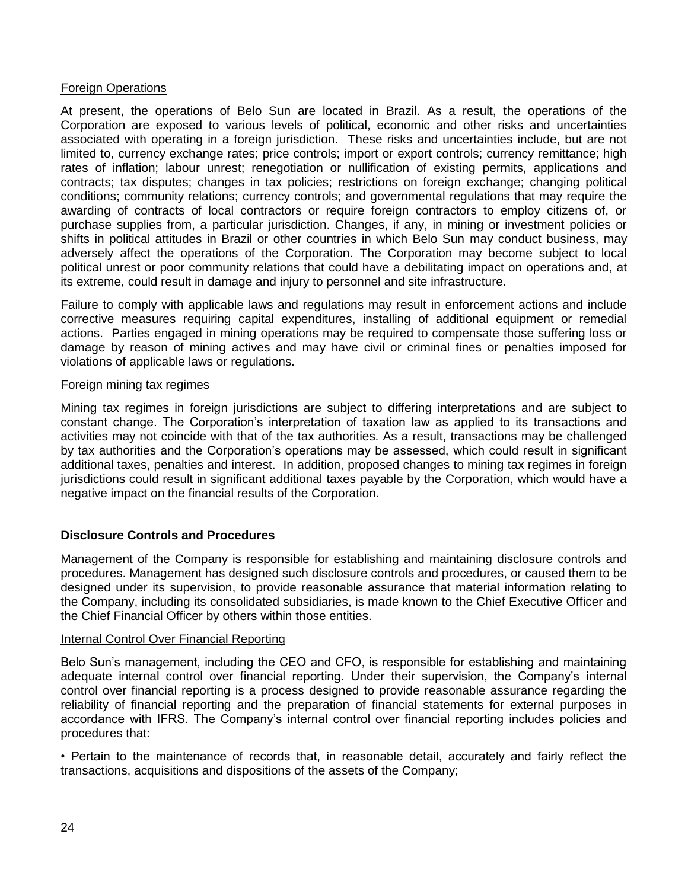## Foreign Operations

At present, the operations of Belo Sun are located in Brazil. As a result, the operations of the Corporation are exposed to various levels of political, economic and other risks and uncertainties associated with operating in a foreign jurisdiction. These risks and uncertainties include, but are not limited to, currency exchange rates; price controls; import or export controls; currency remittance; high rates of inflation; labour unrest; renegotiation or nullification of existing permits, applications and contracts; tax disputes; changes in tax policies; restrictions on foreign exchange; changing political conditions; community relations; currency controls; and governmental regulations that may require the awarding of contracts of local contractors or require foreign contractors to employ citizens of, or purchase supplies from, a particular jurisdiction. Changes, if any, in mining or investment policies or shifts in political attitudes in Brazil or other countries in which Belo Sun may conduct business, may adversely affect the operations of the Corporation. The Corporation may become subject to local political unrest or poor community relations that could have a debilitating impact on operations and, at its extreme, could result in damage and injury to personnel and site infrastructure.

Failure to comply with applicable laws and regulations may result in enforcement actions and include corrective measures requiring capital expenditures, installing of additional equipment or remedial actions. Parties engaged in mining operations may be required to compensate those suffering loss or damage by reason of mining actives and may have civil or criminal fines or penalties imposed for violations of applicable laws or regulations.

#### Foreign mining tax regimes

Mining tax regimes in foreign jurisdictions are subject to differing interpretations and are subject to constant change. The Corporation's interpretation of taxation law as applied to its transactions and activities may not coincide with that of the tax authorities. As a result, transactions may be challenged by tax authorities and the Corporation's operations may be assessed, which could result in significant additional taxes, penalties and interest. In addition, proposed changes to mining tax regimes in foreign jurisdictions could result in significant additional taxes payable by the Corporation, which would have a negative impact on the financial results of the Corporation.

## **Disclosure Controls and Procedures**

Management of the Company is responsible for establishing and maintaining disclosure controls and procedures. Management has designed such disclosure controls and procedures, or caused them to be designed under its supervision, to provide reasonable assurance that material information relating to the Company, including its consolidated subsidiaries, is made known to the Chief Executive Officer and the Chief Financial Officer by others within those entities.

## Internal Control Over Financial Reporting

Belo Sun's management, including the CEO and CFO, is responsible for establishing and maintaining adequate internal control over financial reporting. Under their supervision, the Company's internal control over financial reporting is a process designed to provide reasonable assurance regarding the reliability of financial reporting and the preparation of financial statements for external purposes in accordance with IFRS. The Company's internal control over financial reporting includes policies and procedures that:

• Pertain to the maintenance of records that, in reasonable detail, accurately and fairly reflect the transactions, acquisitions and dispositions of the assets of the Company;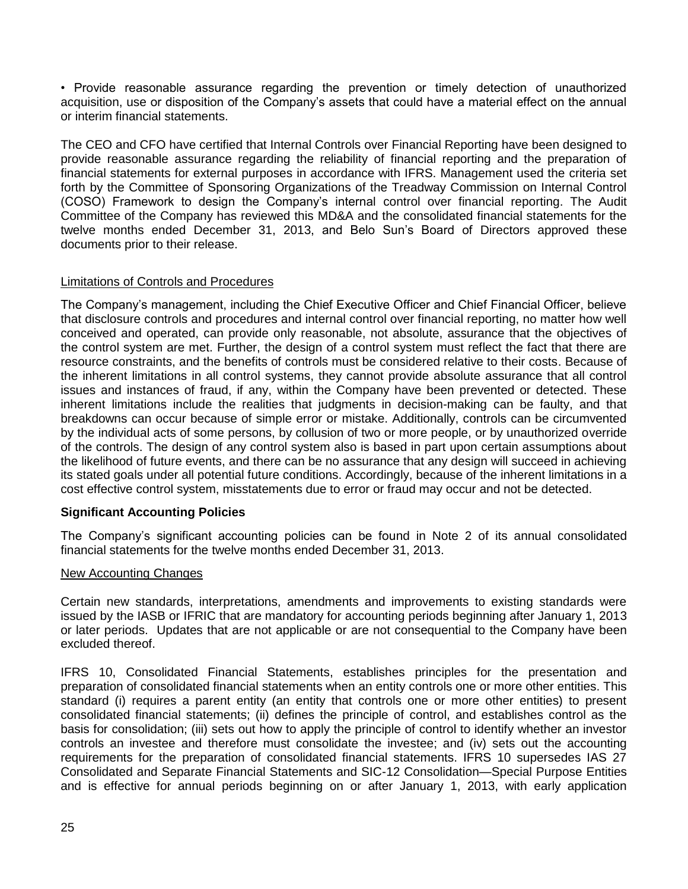• Provide reasonable assurance regarding the prevention or timely detection of unauthorized acquisition, use or disposition of the Company's assets that could have a material effect on the annual or interim financial statements.

The CEO and CFO have certified that Internal Controls over Financial Reporting have been designed to provide reasonable assurance regarding the reliability of financial reporting and the preparation of financial statements for external purposes in accordance with IFRS. Management used the criteria set forth by the Committee of Sponsoring Organizations of the Treadway Commission on Internal Control (COSO) Framework to design the Company's internal control over financial reporting. The Audit Committee of the Company has reviewed this MD&A and the consolidated financial statements for the twelve months ended December 31, 2013, and Belo Sun's Board of Directors approved these documents prior to their release.

# Limitations of Controls and Procedures

The Company's management, including the Chief Executive Officer and Chief Financial Officer, believe that disclosure controls and procedures and internal control over financial reporting, no matter how well conceived and operated, can provide only reasonable, not absolute, assurance that the objectives of the control system are met. Further, the design of a control system must reflect the fact that there are resource constraints, and the benefits of controls must be considered relative to their costs. Because of the inherent limitations in all control systems, they cannot provide absolute assurance that all control issues and instances of fraud, if any, within the Company have been prevented or detected. These inherent limitations include the realities that judgments in decision-making can be faulty, and that breakdowns can occur because of simple error or mistake. Additionally, controls can be circumvented by the individual acts of some persons, by collusion of two or more people, or by unauthorized override of the controls. The design of any control system also is based in part upon certain assumptions about the likelihood of future events, and there can be no assurance that any design will succeed in achieving its stated goals under all potential future conditions. Accordingly, because of the inherent limitations in a cost effective control system, misstatements due to error or fraud may occur and not be detected.

# **Significant Accounting Policies**

The Company's significant accounting policies can be found in Note 2 of its annual consolidated financial statements for the twelve months ended December 31, 2013.

## New Accounting Changes

Certain new standards, interpretations, amendments and improvements to existing standards were issued by the IASB or IFRIC that are mandatory for accounting periods beginning after January 1, 2013 or later periods. Updates that are not applicable or are not consequential to the Company have been excluded thereof.

IFRS 10, Consolidated Financial Statements, establishes principles for the presentation and preparation of consolidated financial statements when an entity controls one or more other entities. This standard (i) requires a parent entity (an entity that controls one or more other entities) to present consolidated financial statements; (ii) defines the principle of control, and establishes control as the basis for consolidation; (iii) sets out how to apply the principle of control to identify whether an investor controls an investee and therefore must consolidate the investee; and (iv) sets out the accounting requirements for the preparation of consolidated financial statements. IFRS 10 supersedes IAS 27 Consolidated and Separate Financial Statements and SIC-12 Consolidation—Special Purpose Entities and is effective for annual periods beginning on or after January 1, 2013, with early application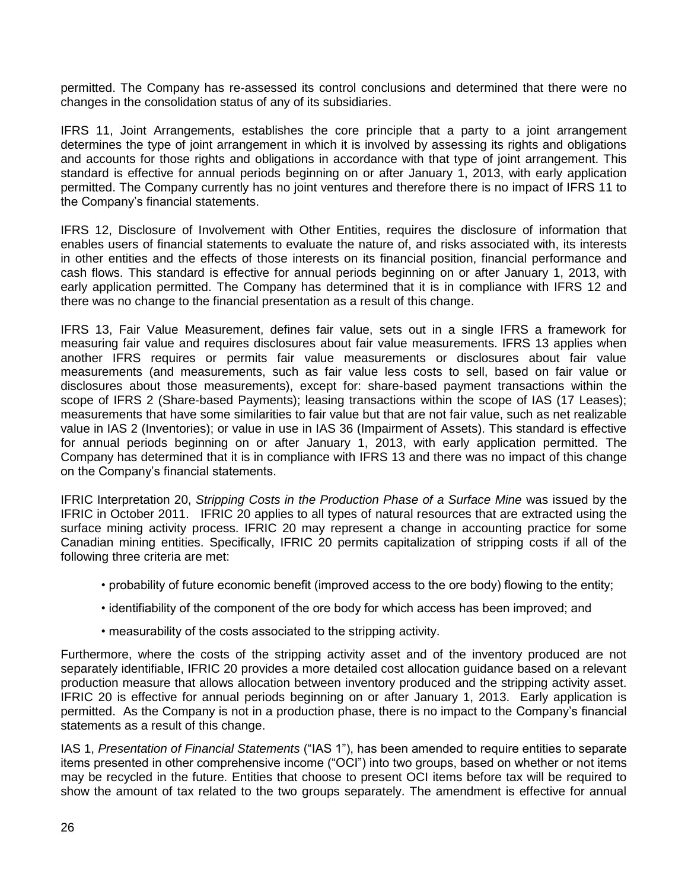permitted. The Company has re-assessed its control conclusions and determined that there were no changes in the consolidation status of any of its subsidiaries.

IFRS 11, Joint Arrangements, establishes the core principle that a party to a joint arrangement determines the type of joint arrangement in which it is involved by assessing its rights and obligations and accounts for those rights and obligations in accordance with that type of joint arrangement. This standard is effective for annual periods beginning on or after January 1, 2013, with early application permitted. The Company currently has no joint ventures and therefore there is no impact of IFRS 11 to the Company's financial statements.

IFRS 12, Disclosure of Involvement with Other Entities, requires the disclosure of information that enables users of financial statements to evaluate the nature of, and risks associated with, its interests in other entities and the effects of those interests on its financial position, financial performance and cash flows. This standard is effective for annual periods beginning on or after January 1, 2013, with early application permitted. The Company has determined that it is in compliance with IFRS 12 and there was no change to the financial presentation as a result of this change.

IFRS 13, Fair Value Measurement, defines fair value, sets out in a single IFRS a framework for measuring fair value and requires disclosures about fair value measurements. IFRS 13 applies when another IFRS requires or permits fair value measurements or disclosures about fair value measurements (and measurements, such as fair value less costs to sell, based on fair value or disclosures about those measurements), except for: share-based payment transactions within the scope of IFRS 2 (Share-based Payments); leasing transactions within the scope of IAS (17 Leases); measurements that have some similarities to fair value but that are not fair value, such as net realizable value in IAS 2 (Inventories); or value in use in IAS 36 (Impairment of Assets). This standard is effective for annual periods beginning on or after January 1, 2013, with early application permitted. The Company has determined that it is in compliance with IFRS 13 and there was no impact of this change on the Company's financial statements.

IFRIC Interpretation 20, *Stripping Costs in the Production Phase of a Surface Mine* was issued by the IFRIC in October 2011. IFRIC 20 applies to all types of natural resources that are extracted using the surface mining activity process. IFRIC 20 may represent a change in accounting practice for some Canadian mining entities. Specifically, IFRIC 20 permits capitalization of stripping costs if all of the following three criteria are met:

- probability of future economic benefit (improved access to the ore body) flowing to the entity;
- identifiability of the component of the ore body for which access has been improved; and
- measurability of the costs associated to the stripping activity.

Furthermore, where the costs of the stripping activity asset and of the inventory produced are not separately identifiable, IFRIC 20 provides a more detailed cost allocation guidance based on a relevant production measure that allows allocation between inventory produced and the stripping activity asset. IFRIC 20 is effective for annual periods beginning on or after January 1, 2013. Early application is permitted. As the Company is not in a production phase, there is no impact to the Company's financial statements as a result of this change.

IAS 1, *Presentation of Financial Statements* ("IAS 1"), has been amended to require entities to separate items presented in other comprehensive income ("OCI") into two groups, based on whether or not items may be recycled in the future. Entities that choose to present OCI items before tax will be required to show the amount of tax related to the two groups separately. The amendment is effective for annual